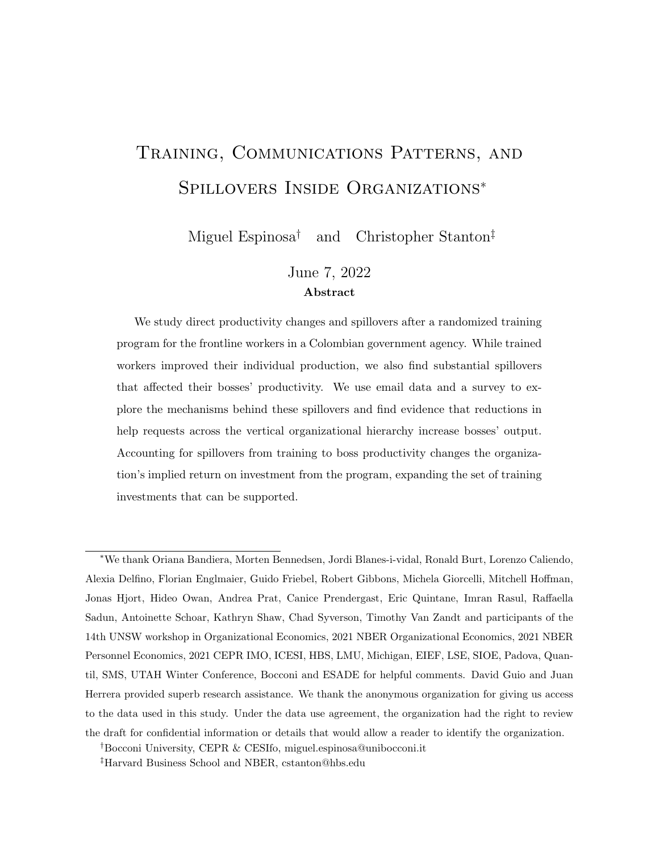# <span id="page-0-0"></span>Training, Communications Patterns, and Spillovers Inside Organizations<sup>∗</sup>

Miguel Espinosa† and Christopher Stanton‡

### June 7, 2022 Abstract

We study direct productivity changes and spillovers after a randomized training program for the frontline workers in a Colombian government agency. While trained workers improved their individual production, we also find substantial spillovers that affected their bosses' productivity. We use email data and a survey to explore the mechanisms behind these spillovers and find evidence that reductions in help requests across the vertical organizational hierarchy increase bosses' output. Accounting for spillovers from training to boss productivity changes the organization's implied return on investment from the program, expanding the set of training investments that can be supported.

<sup>∗</sup>We thank Oriana Bandiera, Morten Bennedsen, Jordi Blanes-i-vidal, Ronald Burt, Lorenzo Caliendo, Alexia Delfino, Florian Englmaier, Guido Friebel, Robert Gibbons, Michela Giorcelli, Mitchell Hoffman, Jonas Hjort, Hideo Owan, Andrea Prat, Canice Prendergast, Eric Quintane, Imran Rasul, Raffaella Sadun, Antoinette Schoar, Kathryn Shaw, Chad Syverson, Timothy Van Zandt and participants of the 14th UNSW workshop in Organizational Economics, 2021 NBER Organizational Economics, 2021 NBER Personnel Economics, 2021 CEPR IMO, ICESI, HBS, LMU, Michigan, EIEF, LSE, SIOE, Padova, Quantil, SMS, UTAH Winter Conference, Bocconi and ESADE for helpful comments. David Guio and Juan Herrera provided superb research assistance. We thank the anonymous organization for giving us access to the data used in this study. Under the data use agreement, the organization had the right to review the draft for confidential information or details that would allow a reader to identify the organization.

†Bocconi University, CEPR & CESIfo, miguel.espinosa@unibocconi.it

‡Harvard Business School and NBER, cstanton@hbs.edu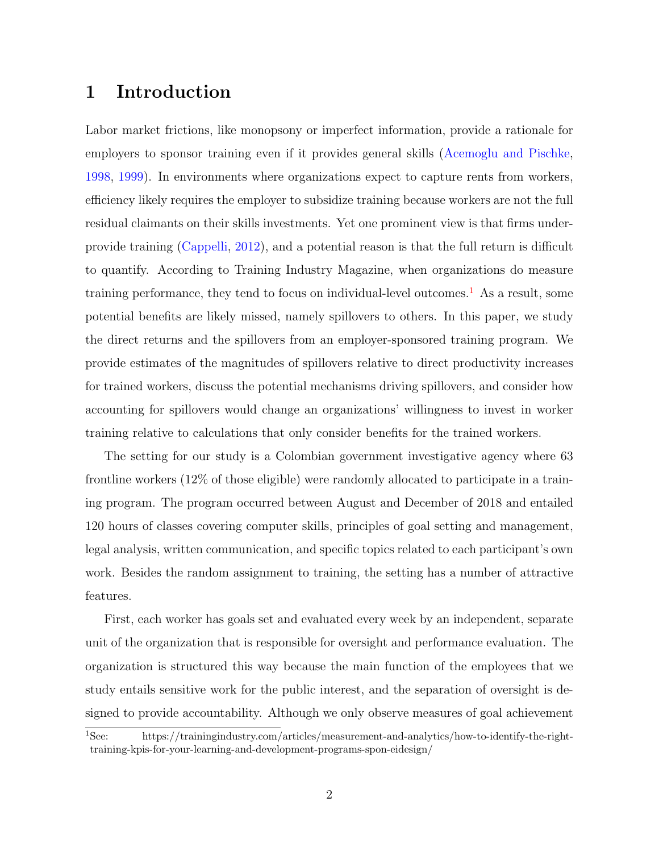### 1 Introduction

Labor market frictions, like monopsony or imperfect information, provide a rationale for employers to sponsor training even if it provides general skills [\(Acemoglu and Pischke,](#page-31-0) [1998,](#page-31-0) [1999\)](#page-31-1). In environments where organizations expect to capture rents from workers, efficiency likely requires the employer to subsidize training because workers are not the full residual claimants on their skills investments. Yet one prominent view is that firms underprovide training [\(Cappelli,](#page-32-0) [2012\)](#page-32-0), and a potential reason is that the full return is difficult to quantify. According to Training Industry Magazine, when organizations do measure training performance, they tend to focus on individual-level outcomes.<sup>[1](#page-0-0)</sup> As a result, some potential benefits are likely missed, namely spillovers to others. In this paper, we study the direct returns and the spillovers from an employer-sponsored training program. We provide estimates of the magnitudes of spillovers relative to direct productivity increases for trained workers, discuss the potential mechanisms driving spillovers, and consider how accounting for spillovers would change an organizations' willingness to invest in worker training relative to calculations that only consider benefits for the trained workers.

The setting for our study is a Colombian government investigative agency where 63 frontline workers (12% of those eligible) were randomly allocated to participate in a training program. The program occurred between August and December of 2018 and entailed 120 hours of classes covering computer skills, principles of goal setting and management, legal analysis, written communication, and specific topics related to each participant's own work. Besides the random assignment to training, the setting has a number of attractive features.

First, each worker has goals set and evaluated every week by an independent, separate unit of the organization that is responsible for oversight and performance evaluation. The organization is structured this way because the main function of the employees that we study entails sensitive work for the public interest, and the separation of oversight is designed to provide accountability. Although we only observe measures of goal achievement

<sup>1</sup>See: https://trainingindustry.com/articles/measurement-and-analytics/how-to-identify-the-righttraining-kpis-for-your-learning-and-development-programs-spon-eidesign/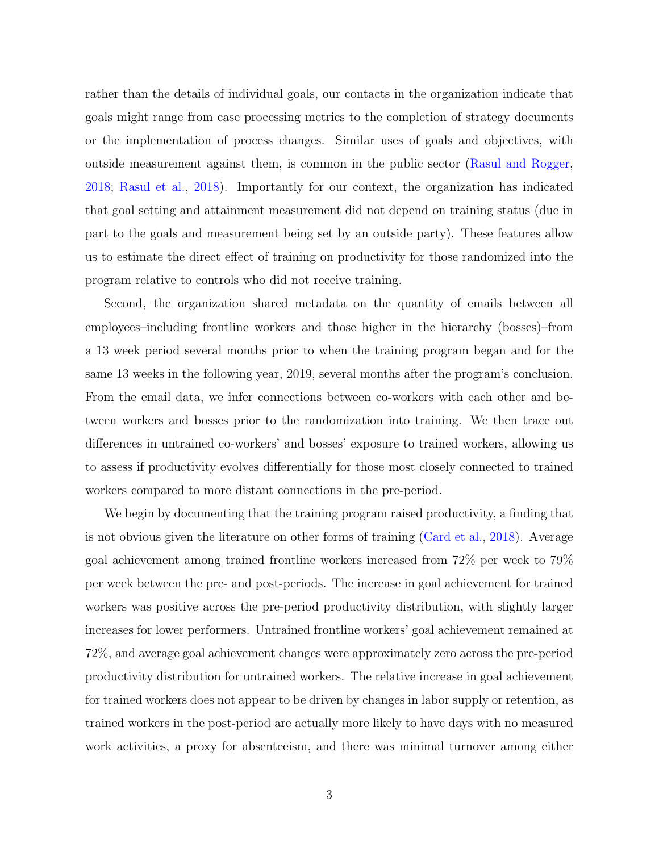rather than the details of individual goals, our contacts in the organization indicate that goals might range from case processing metrics to the completion of strategy documents or the implementation of process changes. Similar uses of goals and objectives, with outside measurement against them, is common in the public sector [\(Rasul and Rogger,](#page-33-0) [2018;](#page-33-0) [Rasul et al.,](#page-33-1) [2018\)](#page-33-1). Importantly for our context, the organization has indicated that goal setting and attainment measurement did not depend on training status (due in part to the goals and measurement being set by an outside party). These features allow us to estimate the direct effect of training on productivity for those randomized into the program relative to controls who did not receive training.

Second, the organization shared metadata on the quantity of emails between all employees–including frontline workers and those higher in the hierarchy (bosses)–from a 13 week period several months prior to when the training program began and for the same 13 weeks in the following year, 2019, several months after the program's conclusion. From the email data, we infer connections between co-workers with each other and between workers and bosses prior to the randomization into training. We then trace out differences in untrained co-workers' and bosses' exposure to trained workers, allowing us to assess if productivity evolves differentially for those most closely connected to trained workers compared to more distant connections in the pre-period.

We begin by documenting that the training program raised productivity, a finding that is not obvious given the literature on other forms of training [\(Card et al.,](#page-32-1) [2018\)](#page-32-1). Average goal achievement among trained frontline workers increased from 72% per week to 79% per week between the pre- and post-periods. The increase in goal achievement for trained workers was positive across the pre-period productivity distribution, with slightly larger increases for lower performers. Untrained frontline workers' goal achievement remained at 72%, and average goal achievement changes were approximately zero across the pre-period productivity distribution for untrained workers. The relative increase in goal achievement for trained workers does not appear to be driven by changes in labor supply or retention, as trained workers in the post-period are actually more likely to have days with no measured work activities, a proxy for absenteeism, and there was minimal turnover among either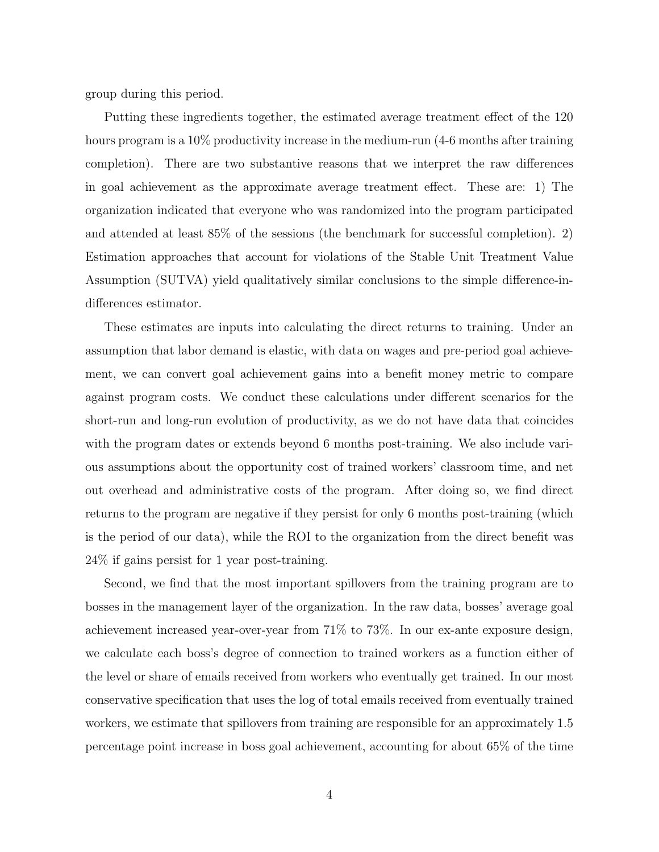group during this period.

Putting these ingredients together, the estimated average treatment effect of the 120 hours program is a 10% productivity increase in the medium-run (4-6 months after training completion). There are two substantive reasons that we interpret the raw differences in goal achievement as the approximate average treatment effect. These are: 1) The organization indicated that everyone who was randomized into the program participated and attended at least 85% of the sessions (the benchmark for successful completion). 2) Estimation approaches that account for violations of the Stable Unit Treatment Value Assumption (SUTVA) yield qualitatively similar conclusions to the simple difference-indifferences estimator.

These estimates are inputs into calculating the direct returns to training. Under an assumption that labor demand is elastic, with data on wages and pre-period goal achievement, we can convert goal achievement gains into a benefit money metric to compare against program costs. We conduct these calculations under different scenarios for the short-run and long-run evolution of productivity, as we do not have data that coincides with the program dates or extends beyond 6 months post-training. We also include various assumptions about the opportunity cost of trained workers' classroom time, and net out overhead and administrative costs of the program. After doing so, we find direct returns to the program are negative if they persist for only 6 months post-training (which is the period of our data), while the ROI to the organization from the direct benefit was 24% if gains persist for 1 year post-training.

Second, we find that the most important spillovers from the training program are to bosses in the management layer of the organization. In the raw data, bosses' average goal achievement increased year-over-year from 71% to 73%. In our ex-ante exposure design, we calculate each boss's degree of connection to trained workers as a function either of the level or share of emails received from workers who eventually get trained. In our most conservative specification that uses the log of total emails received from eventually trained workers, we estimate that spillovers from training are responsible for an approximately 1.5 percentage point increase in boss goal achievement, accounting for about 65% of the time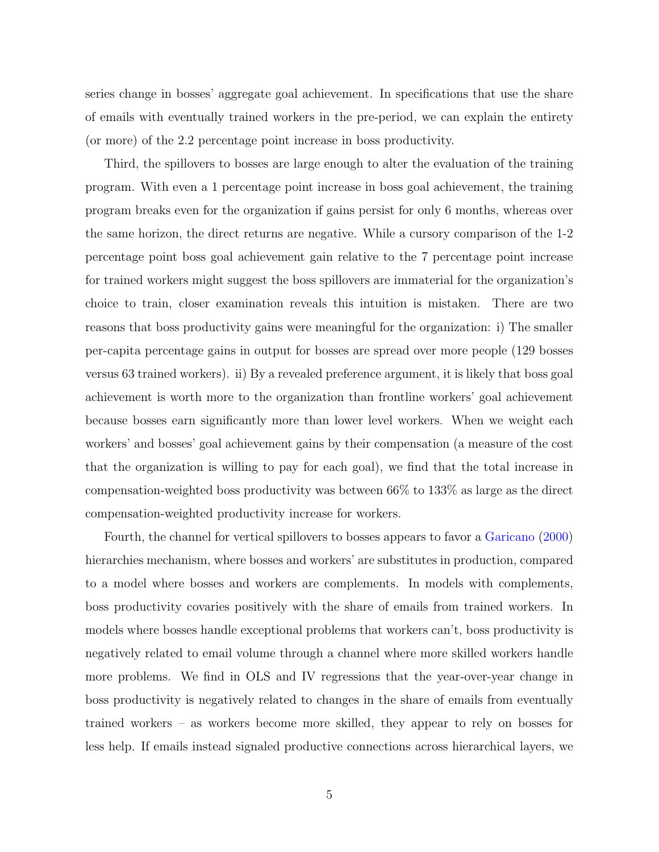series change in bosses' aggregate goal achievement. In specifications that use the share of emails with eventually trained workers in the pre-period, we can explain the entirety (or more) of the 2.2 percentage point increase in boss productivity.

Third, the spillovers to bosses are large enough to alter the evaluation of the training program. With even a 1 percentage point increase in boss goal achievement, the training program breaks even for the organization if gains persist for only 6 months, whereas over the same horizon, the direct returns are negative. While a cursory comparison of the 1-2 percentage point boss goal achievement gain relative to the 7 percentage point increase for trained workers might suggest the boss spillovers are immaterial for the organization's choice to train, closer examination reveals this intuition is mistaken. There are two reasons that boss productivity gains were meaningful for the organization: i) The smaller per-capita percentage gains in output for bosses are spread over more people (129 bosses versus 63 trained workers). ii) By a revealed preference argument, it is likely that boss goal achievement is worth more to the organization than frontline workers' goal achievement because bosses earn significantly more than lower level workers. When we weight each workers' and bosses' goal achievement gains by their compensation (a measure of the cost that the organization is willing to pay for each goal), we find that the total increase in compensation-weighted boss productivity was between 66% to 133% as large as the direct compensation-weighted productivity increase for workers.

Fourth, the channel for vertical spillovers to bosses appears to favor a [Garicano](#page-32-2) [\(2000\)](#page-32-2) hierarchies mechanism, where bosses and workers' are substitutes in production, compared to a model where bosses and workers are complements. In models with complements, boss productivity covaries positively with the share of emails from trained workers. In models where bosses handle exceptional problems that workers can't, boss productivity is negatively related to email volume through a channel where more skilled workers handle more problems. We find in OLS and IV regressions that the year-over-year change in boss productivity is negatively related to changes in the share of emails from eventually trained workers – as workers become more skilled, they appear to rely on bosses for less help. If emails instead signaled productive connections across hierarchical layers, we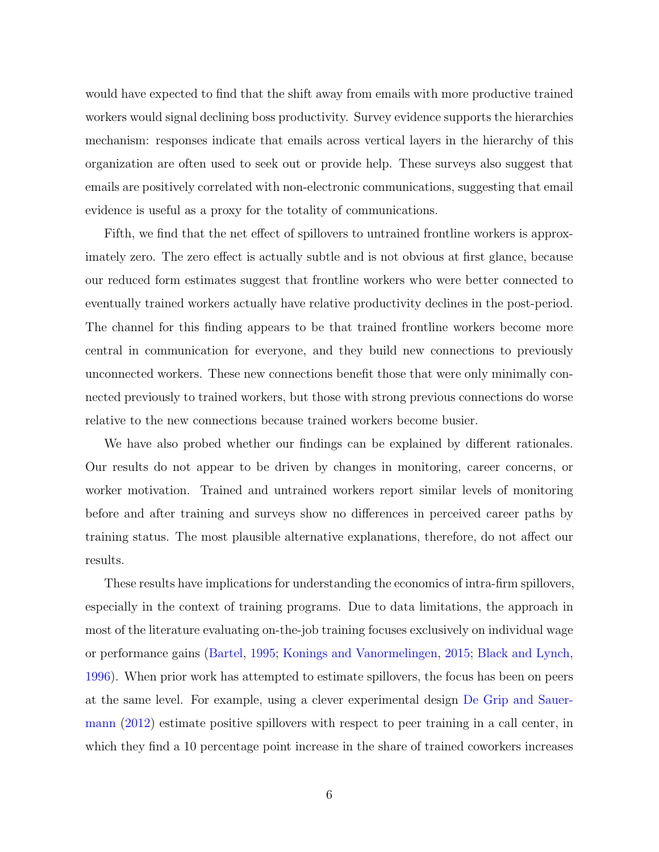would have expected to find that the shift away from emails with more productive trained workers would signal declining boss productivity. Survey evidence supports the hierarchies mechanism: responses indicate that emails across vertical layers in the hierarchy of this organization are often used to seek out or provide help. These surveys also suggest that emails are positively correlated with non-electronic communications, suggesting that email evidence is useful as a proxy for the totality of communications.

Fifth, we find that the net effect of spillovers to untrained frontline workers is approximately zero. The zero effect is actually subtle and is not obvious at first glance, because our reduced form estimates suggest that frontline workers who were better connected to eventually trained workers actually have relative productivity declines in the post-period. The channel for this finding appears to be that trained frontline workers become more central in communication for everyone, and they build new connections to previously unconnected workers. These new connections benefit those that were only minimally connected previously to trained workers, but those with strong previous connections do worse relative to the new connections because trained workers become busier.

We have also probed whether our findings can be explained by different rationales. Our results do not appear to be driven by changes in monitoring, career concerns, or worker motivation. Trained and untrained workers report similar levels of monitoring before and after training and surveys show no differences in perceived career paths by training status. The most plausible alternative explanations, therefore, do not affect our results.

These results have implications for understanding the economics of intra-firm spillovers, especially in the context of training programs. Due to data limitations, the approach in most of the literature evaluating on-the-job training focuses exclusively on individual wage or performance gains [\(Bartel,](#page-31-2) [1995;](#page-31-2) [Konings and Vanormelingen,](#page-32-3) [2015;](#page-32-3) [Black and Lynch,](#page-31-3) [1996\)](#page-31-3). When prior work has attempted to estimate spillovers, the focus has been on peers at the same level. For example, using a clever experimental design [De Grip and Sauer](#page-32-4)[mann](#page-32-4) [\(2012\)](#page-32-4) estimate positive spillovers with respect to peer training in a call center, in which they find a 10 percentage point increase in the share of trained coworkers increases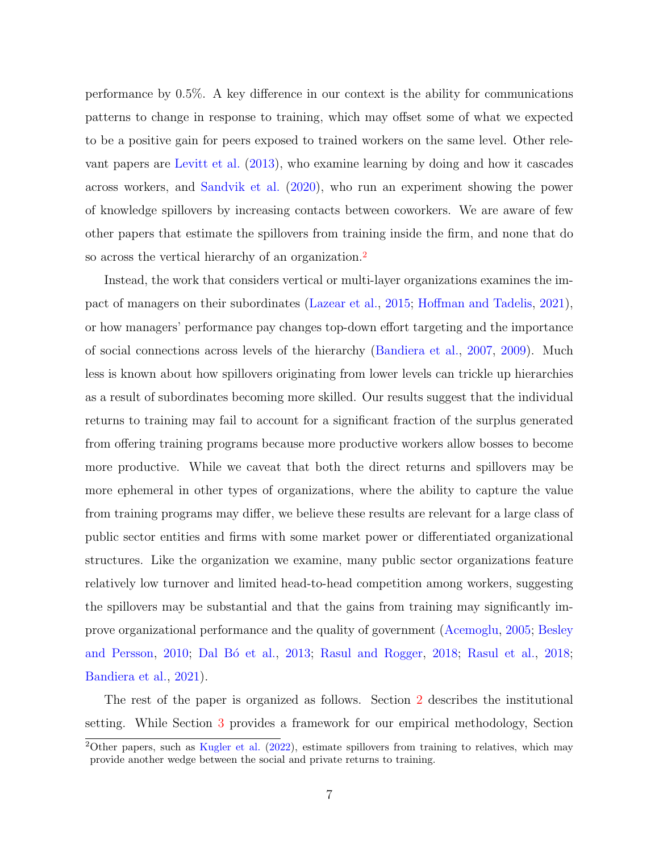performance by 0.5%. A key difference in our context is the ability for communications patterns to change in response to training, which may offset some of what we expected to be a positive gain for peers exposed to trained workers on the same level. Other relevant papers are [Levitt et al.](#page-33-2) [\(2013\)](#page-33-2), who examine learning by doing and how it cascades across workers, and [Sandvik et al.](#page-33-3) [\(2020\)](#page-33-3), who run an experiment showing the power of knowledge spillovers by increasing contacts between coworkers. We are aware of few other papers that estimate the spillovers from training inside the firm, and none that do so across the vertical hierarchy of an organization.<sup>[2](#page-0-0)</sup>

Instead, the work that considers vertical or multi-layer organizations examines the impact of managers on their subordinates [\(Lazear et al.,](#page-33-4) [2015;](#page-33-4) [Hoffman and Tadelis,](#page-32-5) [2021\)](#page-32-5), or how managers' performance pay changes top-down effort targeting and the importance of social connections across levels of the hierarchy [\(Bandiera et al.,](#page-31-4) [2007,](#page-31-4) [2009\)](#page-31-5). Much less is known about how spillovers originating from lower levels can trickle up hierarchies as a result of subordinates becoming more skilled. Our results suggest that the individual returns to training may fail to account for a significant fraction of the surplus generated from offering training programs because more productive workers allow bosses to become more productive. While we caveat that both the direct returns and spillovers may be more ephemeral in other types of organizations, where the ability to capture the value from training programs may differ, we believe these results are relevant for a large class of public sector entities and firms with some market power or differentiated organizational structures. Like the organization we examine, many public sector organizations feature relatively low turnover and limited head-to-head competition among workers, suggesting the spillovers may be substantial and that the gains from training may significantly improve organizational performance and the quality of government [\(Acemoglu,](#page-31-6) [2005;](#page-31-6) [Besley](#page-31-7) [and Persson,](#page-31-7) [2010;](#page-31-7) Dal Bó et al., [2013;](#page-32-6) [Rasul and Rogger,](#page-33-0) [2018;](#page-33-1) [Rasul et al.,](#page-33-1) 2018; [Bandiera et al.,](#page-31-8) [2021\)](#page-31-8).

The rest of the paper is organized as follows. Section [2](#page-7-0) describes the institutional setting. While Section [3](#page-13-0) provides a framework for our empirical methodology, Section

<sup>&</sup>lt;sup>2</sup>Other papers, such as [Kugler et al.](#page-33-5) [\(2022\)](#page-33-5), estimate spillovers from training to relatives, which may provide another wedge between the social and private returns to training.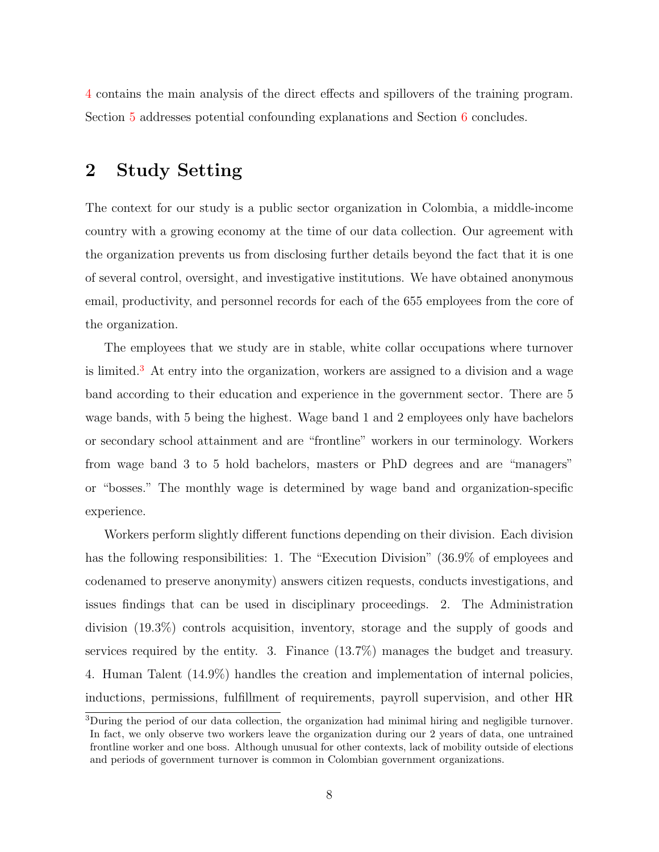[4](#page-17-0) contains the main analysis of the direct effects and spillovers of the training program. Section [5](#page-23-0) addresses potential confounding explanations and Section [6](#page-28-0) concludes.

### <span id="page-7-0"></span>2 Study Setting

The context for our study is a public sector organization in Colombia, a middle-income country with a growing economy at the time of our data collection. Our agreement with the organization prevents us from disclosing further details beyond the fact that it is one of several control, oversight, and investigative institutions. We have obtained anonymous email, productivity, and personnel records for each of the 655 employees from the core of the organization.

The employees that we study are in stable, white collar occupations where turnover is limited.[3](#page-0-0) At entry into the organization, workers are assigned to a division and a wage band according to their education and experience in the government sector. There are 5 wage bands, with 5 being the highest. Wage band 1 and 2 employees only have bachelors or secondary school attainment and are "frontline" workers in our terminology. Workers from wage band 3 to 5 hold bachelors, masters or PhD degrees and are "managers" or "bosses." The monthly wage is determined by wage band and organization-specific experience.

Workers perform slightly different functions depending on their division. Each division has the following responsibilities: 1. The "Execution Division" (36.9% of employees and codenamed to preserve anonymity) answers citizen requests, conducts investigations, and issues findings that can be used in disciplinary proceedings. 2. The Administration division (19.3%) controls acquisition, inventory, storage and the supply of goods and services required by the entity. 3. Finance (13.7%) manages the budget and treasury. 4. Human Talent (14.9%) handles the creation and implementation of internal policies, inductions, permissions, fulfillment of requirements, payroll supervision, and other HR

 $3$ During the period of our data collection, the organization had minimal hiring and negligible turnover. In fact, we only observe two workers leave the organization during our 2 years of data, one untrained frontline worker and one boss. Although unusual for other contexts, lack of mobility outside of elections and periods of government turnover is common in Colombian government organizations.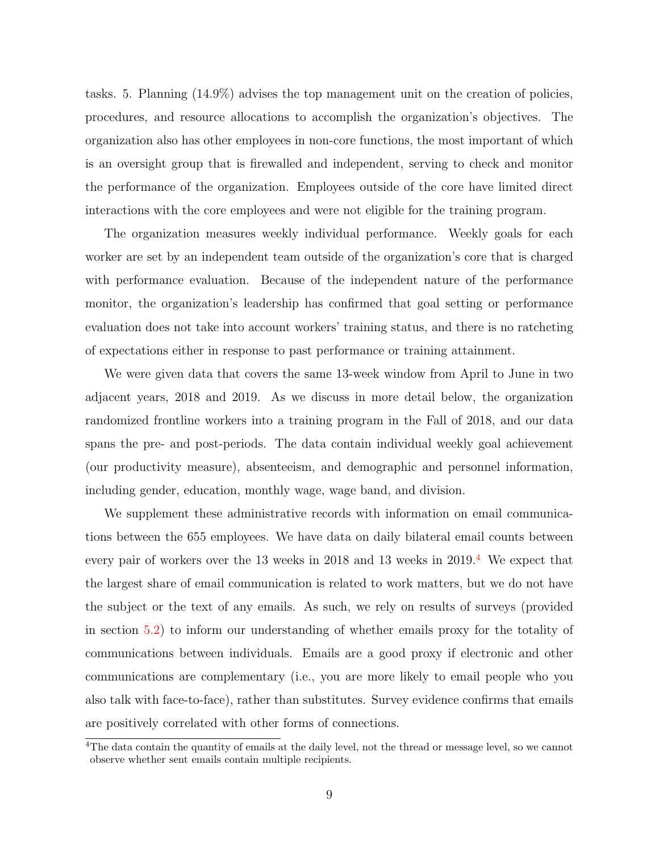tasks. 5. Planning (14.9%) advises the top management unit on the creation of policies, procedures, and resource allocations to accomplish the organization's objectives. The organization also has other employees in non-core functions, the most important of which is an oversight group that is firewalled and independent, serving to check and monitor the performance of the organization. Employees outside of the core have limited direct interactions with the core employees and were not eligible for the training program.

The organization measures weekly individual performance. Weekly goals for each worker are set by an independent team outside of the organization's core that is charged with performance evaluation. Because of the independent nature of the performance monitor, the organization's leadership has confirmed that goal setting or performance evaluation does not take into account workers' training status, and there is no ratcheting of expectations either in response to past performance or training attainment.

We were given data that covers the same 13-week window from April to June in two adjacent years, 2018 and 2019. As we discuss in more detail below, the organization randomized frontline workers into a training program in the Fall of 2018, and our data spans the pre- and post-periods. The data contain individual weekly goal achievement (our productivity measure), absenteeism, and demographic and personnel information, including gender, education, monthly wage, wage band, and division.

We supplement these administrative records with information on email communications between the 655 employees. We have data on daily bilateral email counts between every pair of workers over the 13 weeks in 2018 and 13 weeks in 2019.[4](#page-0-0) We expect that the largest share of email communication is related to work matters, but we do not have the subject or the text of any emails. As such, we rely on results of surveys (provided in section [5.2\)](#page-24-0) to inform our understanding of whether emails proxy for the totality of communications between individuals. Emails are a good proxy if electronic and other communications are complementary (i.e., you are more likely to email people who you also talk with face-to-face), rather than substitutes. Survey evidence confirms that emails are positively correlated with other forms of connections.

<sup>&</sup>lt;sup>4</sup>The data contain the quantity of emails at the daily level, not the thread or message level, so we cannot observe whether sent emails contain multiple recipients.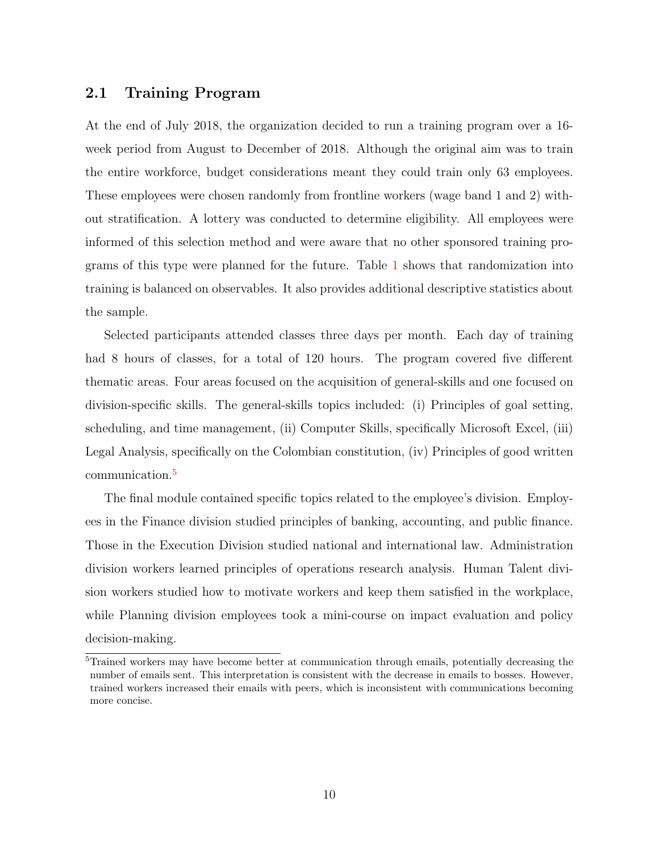### 2.1 Training Program

At the end of July 2018, the organization decided to run a training program over a 16 week period from August to December of 2018. Although the original aim was to train the entire workforce, budget considerations meant they could train only 63 employees. These employees were chosen randomly from frontline workers (wage band 1 and 2) without stratification. A lottery was conducted to determine eligibility. All employees were informed of this selection method and were aware that no other sponsored training programs of this type were planned for the future. Table [1](#page-38-0) shows that randomization into training is balanced on observables. It also provides additional descriptive statistics about the sample.

Selected participants attended classes three days per month. Each day of training had 8 hours of classes, for a total of 120 hours. The program covered five different thematic areas. Four areas focused on the acquisition of general-skills and one focused on division-specific skills. The general-skills topics included: (i) Principles of goal setting, scheduling, and time management, (ii) Computer Skills, specifically Microsoft Excel, (iii) Legal Analysis, specifically on the Colombian constitution, (iv) Principles of good written communication.[5](#page-0-0)

The final module contained specific topics related to the employee's division. Employees in the Finance division studied principles of banking, accounting, and public finance. Those in the Execution Division studied national and international law. Administration division workers learned principles of operations research analysis. Human Talent division workers studied how to motivate workers and keep them satisfied in the workplace, while Planning division employees took a mini-course on impact evaluation and policy decision-making.

<sup>&</sup>lt;sup>5</sup>Trained workers may have become better at communication through emails, potentially decreasing the number of emails sent. This interpretation is consistent with the decrease in emails to bosses. However, trained workers increased their emails with peers, which is inconsistent with communications becoming more concise.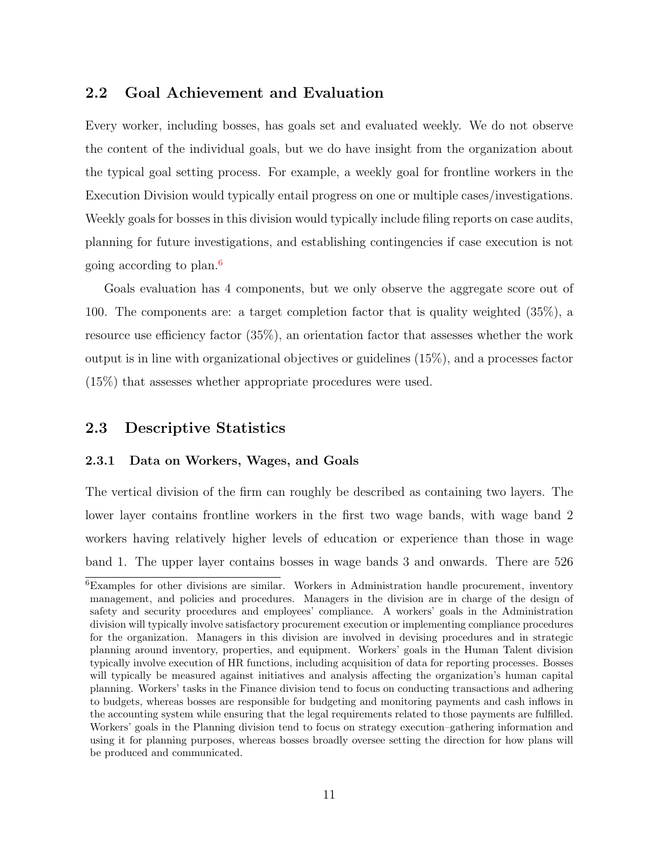### 2.2 Goal Achievement and Evaluation

Every worker, including bosses, has goals set and evaluated weekly. We do not observe the content of the individual goals, but we do have insight from the organization about the typical goal setting process. For example, a weekly goal for frontline workers in the Execution Division would typically entail progress on one or multiple cases/investigations. Weekly goals for bosses in this division would typically include filing reports on case audits, planning for future investigations, and establishing contingencies if case execution is not going according to plan.[6](#page-0-0)

Goals evaluation has 4 components, but we only observe the aggregate score out of 100. The components are: a target completion factor that is quality weighted (35%), a resource use efficiency factor (35%), an orientation factor that assesses whether the work output is in line with organizational objectives or guidelines (15%), and a processes factor (15%) that assesses whether appropriate procedures were used.

### 2.3 Descriptive Statistics

#### 2.3.1 Data on Workers, Wages, and Goals

The vertical division of the firm can roughly be described as containing two layers. The lower layer contains frontline workers in the first two wage bands, with wage band 2 workers having relatively higher levels of education or experience than those in wage band 1. The upper layer contains bosses in wage bands 3 and onwards. There are 526

<sup>&</sup>lt;sup>6</sup>Examples for other divisions are similar. Workers in Administration handle procurement, inventory management, and policies and procedures. Managers in the division are in charge of the design of safety and security procedures and employees' compliance. A workers' goals in the Administration division will typically involve satisfactory procurement execution or implementing compliance procedures for the organization. Managers in this division are involved in devising procedures and in strategic planning around inventory, properties, and equipment. Workers' goals in the Human Talent division typically involve execution of HR functions, including acquisition of data for reporting processes. Bosses will typically be measured against initiatives and analysis affecting the organization's human capital planning. Workers' tasks in the Finance division tend to focus on conducting transactions and adhering to budgets, whereas bosses are responsible for budgeting and monitoring payments and cash inflows in the accounting system while ensuring that the legal requirements related to those payments are fulfilled. Workers' goals in the Planning division tend to focus on strategy execution–gathering information and using it for planning purposes, whereas bosses broadly oversee setting the direction for how plans will be produced and communicated.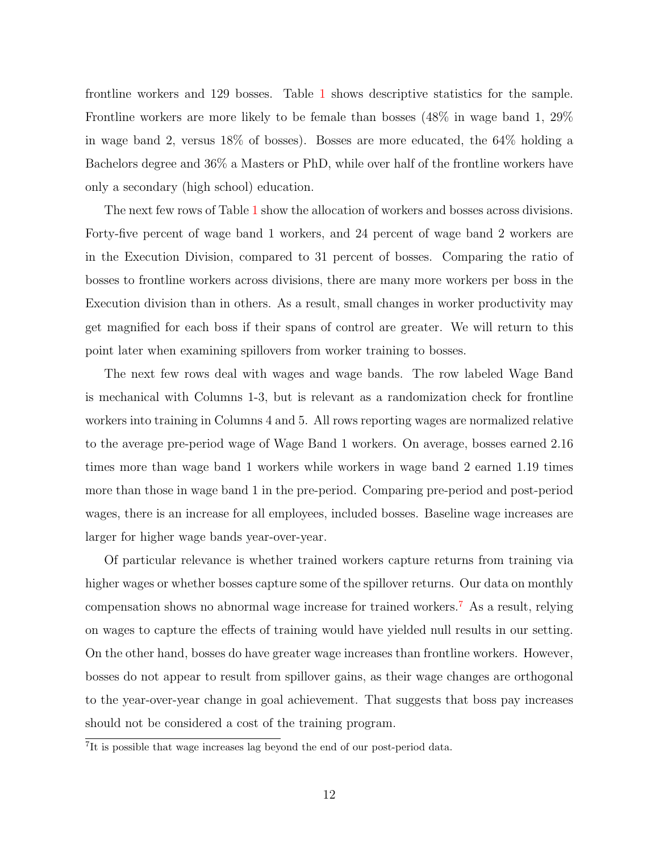frontline workers and 129 bosses. Table [1](#page-38-0) shows descriptive statistics for the sample. Frontline workers are more likely to be female than bosses (48% in wage band 1, 29% in wage band 2, versus 18% of bosses). Bosses are more educated, the 64% holding a Bachelors degree and 36% a Masters or PhD, while over half of the frontline workers have only a secondary (high school) education.

The next few rows of Table [1](#page-38-0) show the allocation of workers and bosses across divisions. Forty-five percent of wage band 1 workers, and 24 percent of wage band 2 workers are in the Execution Division, compared to 31 percent of bosses. Comparing the ratio of bosses to frontline workers across divisions, there are many more workers per boss in the Execution division than in others. As a result, small changes in worker productivity may get magnified for each boss if their spans of control are greater. We will return to this point later when examining spillovers from worker training to bosses.

The next few rows deal with wages and wage bands. The row labeled Wage Band is mechanical with Columns 1-3, but is relevant as a randomization check for frontline workers into training in Columns 4 and 5. All rows reporting wages are normalized relative to the average pre-period wage of Wage Band 1 workers. On average, bosses earned 2.16 times more than wage band 1 workers while workers in wage band 2 earned 1.19 times more than those in wage band 1 in the pre-period. Comparing pre-period and post-period wages, there is an increase for all employees, included bosses. Baseline wage increases are larger for higher wage bands year-over-year.

Of particular relevance is whether trained workers capture returns from training via higher wages or whether bosses capture some of the spillover returns. Our data on monthly compensation shows no abnormal wage increase for trained workers.[7](#page-0-0) As a result, relying on wages to capture the effects of training would have yielded null results in our setting. On the other hand, bosses do have greater wage increases than frontline workers. However, bosses do not appear to result from spillover gains, as their wage changes are orthogonal to the year-over-year change in goal achievement. That suggests that boss pay increases should not be considered a cost of the training program.

<sup>&</sup>lt;sup>7</sup>It is possible that wage increases lag beyond the end of our post-period data.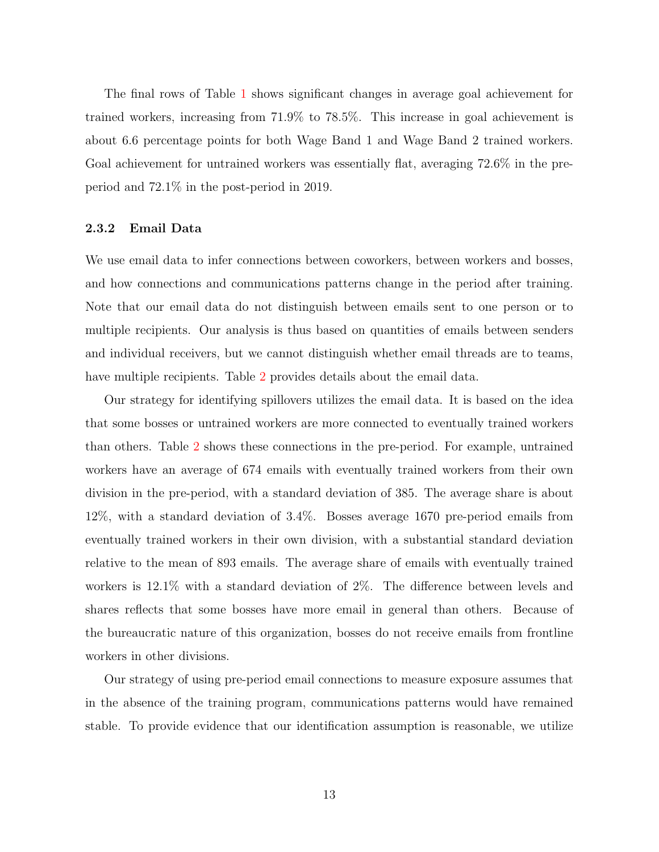The final rows of Table [1](#page-38-0) shows significant changes in average goal achievement for trained workers, increasing from 71.9% to 78.5%. This increase in goal achievement is about 6.6 percentage points for both Wage Band 1 and Wage Band 2 trained workers. Goal achievement for untrained workers was essentially flat, averaging 72.6% in the preperiod and 72.1% in the post-period in 2019.

#### 2.3.2 Email Data

We use email data to infer connections between coworkers, between workers and bosses, and how connections and communications patterns change in the period after training. Note that our email data do not distinguish between emails sent to one person or to multiple recipients. Our analysis is thus based on quantities of emails between senders and individual receivers, but we cannot distinguish whether email threads are to teams, have multiple recipients. Table [2](#page-39-0) provides details about the email data.

Our strategy for identifying spillovers utilizes the email data. It is based on the idea that some bosses or untrained workers are more connected to eventually trained workers than others. Table [2](#page-39-0) shows these connections in the pre-period. For example, untrained workers have an average of 674 emails with eventually trained workers from their own division in the pre-period, with a standard deviation of 385. The average share is about 12%, with a standard deviation of 3.4%. Bosses average 1670 pre-period emails from eventually trained workers in their own division, with a substantial standard deviation relative to the mean of 893 emails. The average share of emails with eventually trained workers is 12.1% with a standard deviation of 2%. The difference between levels and shares reflects that some bosses have more email in general than others. Because of the bureaucratic nature of this organization, bosses do not receive emails from frontline workers in other divisions.

Our strategy of using pre-period email connections to measure exposure assumes that in the absence of the training program, communications patterns would have remained stable. To provide evidence that our identification assumption is reasonable, we utilize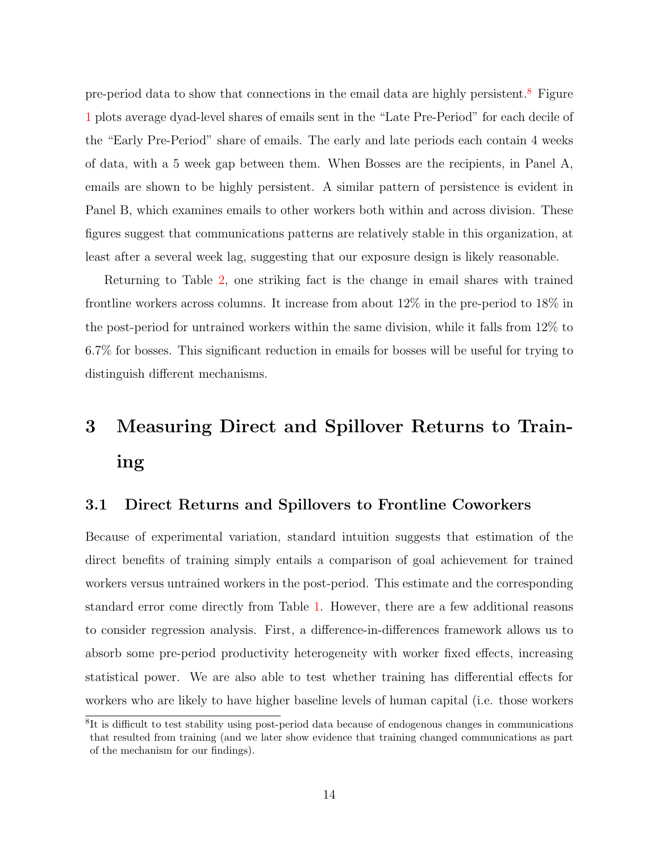pre-period data to show that connections in the email data are highly persistent.[8](#page-0-0) Figure [1](#page-34-0) plots average dyad-level shares of emails sent in the "Late Pre-Period" for each decile of the "Early Pre-Period" share of emails. The early and late periods each contain 4 weeks of data, with a 5 week gap between them. When Bosses are the recipients, in Panel A, emails are shown to be highly persistent. A similar pattern of persistence is evident in Panel B, which examines emails to other workers both within and across division. These figures suggest that communications patterns are relatively stable in this organization, at least after a several week lag, suggesting that our exposure design is likely reasonable.

Returning to Table [2,](#page-39-0) one striking fact is the change in email shares with trained frontline workers across columns. It increase from about 12% in the pre-period to 18% in the post-period for untrained workers within the same division, while it falls from 12% to 6.7% for bosses. This significant reduction in emails for bosses will be useful for trying to distinguish different mechanisms.

# <span id="page-13-0"></span>3 Measuring Direct and Spillover Returns to Training

### 3.1 Direct Returns and Spillovers to Frontline Coworkers

Because of experimental variation, standard intuition suggests that estimation of the direct benefits of training simply entails a comparison of goal achievement for trained workers versus untrained workers in the post-period. This estimate and the corresponding standard error come directly from Table [1.](#page-38-0) However, there are a few additional reasons to consider regression analysis. First, a difference-in-differences framework allows us to absorb some pre-period productivity heterogeneity with worker fixed effects, increasing statistical power. We are also able to test whether training has differential effects for workers who are likely to have higher baseline levels of human capital (i.e. those workers

<sup>&</sup>lt;sup>8</sup>It is difficult to test stability using post-period data because of endogenous changes in communications that resulted from training (and we later show evidence that training changed communications as part of the mechanism for our findings).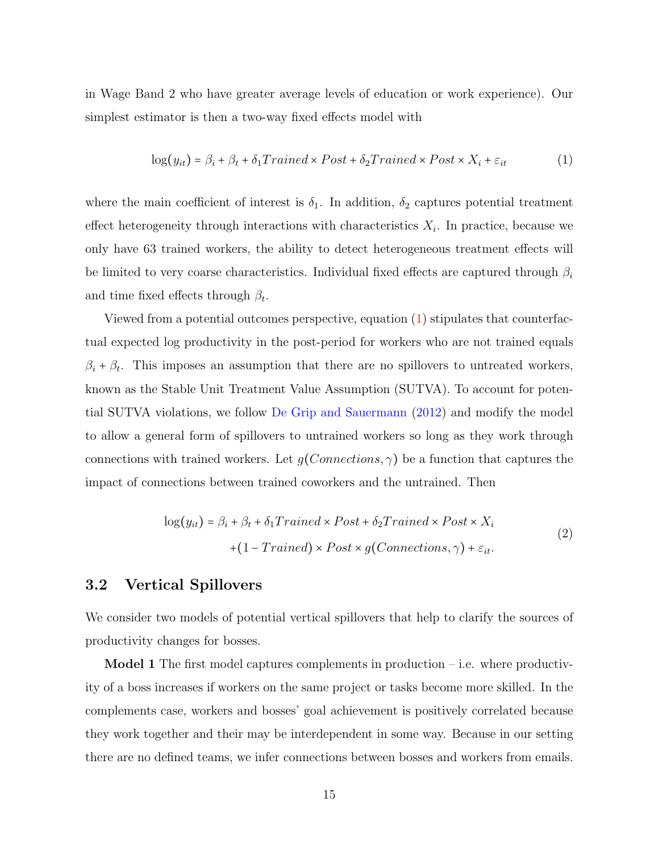in Wage Band 2 who have greater average levels of education or work experience). Our simplest estimator is then a two-way fixed effects model with

<span id="page-14-0"></span>
$$
\log(y_{it}) = \beta_i + \beta_t + \delta_1 Triangle \times Post + \delta_2 Triangle \times Post \times X_i + \varepsilon_{it}
$$
 (1)

where the main coefficient of interest is  $\delta_1$ . In addition,  $\delta_2$  captures potential treatment effect heterogeneity through interactions with characteristics  $X_i$ . In practice, because we only have 63 trained workers, the ability to detect heterogeneous treatment effects will be limited to very coarse characteristics. Individual fixed effects are captured through  $\beta_i$ and time fixed effects through  $\beta_t$ .

Viewed from a potential outcomes perspective, equation [\(1\)](#page-14-0) stipulates that counterfactual expected log productivity in the post-period for workers who are not trained equals  $\beta_i + \beta_t$ . This imposes an assumption that there are no spillovers to untreated workers, known as the Stable Unit Treatment Value Assumption (SUTVA). To account for potential SUTVA violations, we follow [De Grip and Sauermann](#page-32-4) [\(2012\)](#page-32-4) and modify the model to allow a general form of spillovers to untrained workers so long as they work through connections with trained workers. Let  $g(Connections, \gamma)$  be a function that captures the impact of connections between trained coworkers and the untrained. Then

$$
log(y_{it}) = \beta_i + \beta_t + \delta_1 Triangle \times Post + \delta_2 Triangle \times Post \times X_i
$$
  
+ (1 - Triangle) \times Post \times g(Connections, \gamma) + \varepsilon\_{it}. (2)

### <span id="page-14-1"></span>3.2 Vertical Spillovers

We consider two models of potential vertical spillovers that help to clarify the sources of productivity changes for bosses.

**Model 1** The first model captures complements in production  $-$  i.e. where productivity of a boss increases if workers on the same project or tasks become more skilled. In the complements case, workers and bosses' goal achievement is positively correlated because they work together and their may be interdependent in some way. Because in our setting there are no defined teams, we infer connections between bosses and workers from emails.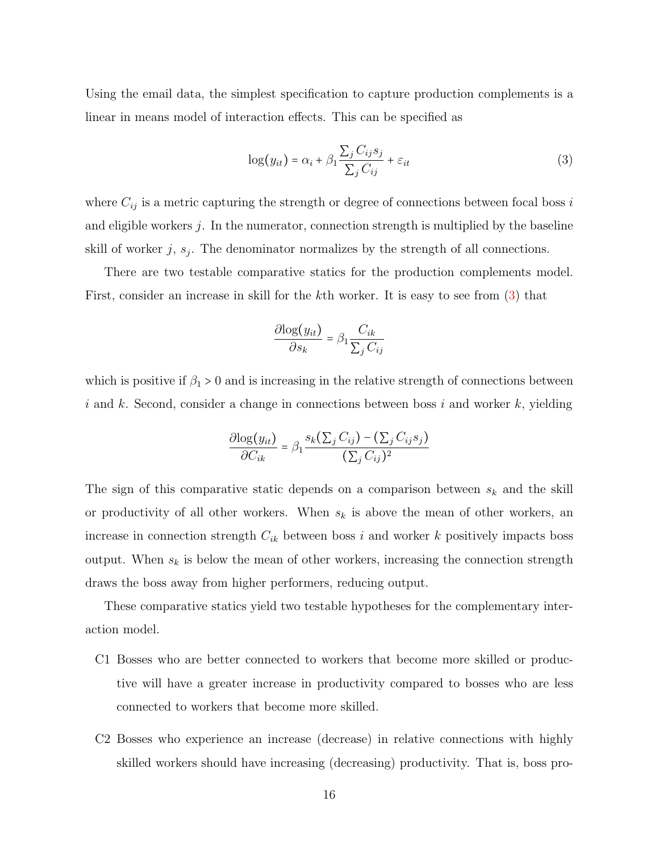Using the email data, the simplest specification to capture production complements is a linear in means model of interaction effects. This can be specified as

<span id="page-15-0"></span>
$$
\log(y_{it}) = \alpha_i + \beta_1 \frac{\sum_j C_{ij} s_j}{\sum_j C_{ij}} + \varepsilon_{it}
$$
\n(3)

where  $C_{ij}$  is a metric capturing the strength or degree of connections between focal boss i and eligible workers j. In the numerator, connection strength is multiplied by the baseline skill of worker  $j, s_j$ . The denominator normalizes by the strength of all connections.

There are two testable comparative statics for the production complements model. First, consider an increase in skill for the kth worker. It is easy to see from [\(3\)](#page-15-0) that

$$
\frac{\partial \log(y_{it})}{\partial s_k} = \beta_1 \frac{C_{ik}}{\sum_j C_{ij}}
$$

which is positive if  $\beta_1 > 0$  and is increasing in the relative strength of connections between i and k. Second, consider a change in connections between boss i and worker  $k$ , yielding

$$
\frac{\partial \log(y_{it})}{\partial C_{ik}} = \beta_1 \frac{s_k(\sum_j C_{ij}) - (\sum_j C_{ij} s_j)}{(\sum_j C_{ij})^2}
$$

The sign of this comparative static depends on a comparison between  $s_k$  and the skill or productivity of all other workers. When  $s_k$  is above the mean of other workers, an increase in connection strength  $C_{ik}$  between boss i and worker k positively impacts boss output. When  $s_k$  is below the mean of other workers, increasing the connection strength draws the boss away from higher performers, reducing output.

These comparative statics yield two testable hypotheses for the complementary interaction model.

- C1 Bosses who are better connected to workers that become more skilled or productive will have a greater increase in productivity compared to bosses who are less connected to workers that become more skilled.
- C2 Bosses who experience an increase (decrease) in relative connections with highly skilled workers should have increasing (decreasing) productivity. That is, boss pro-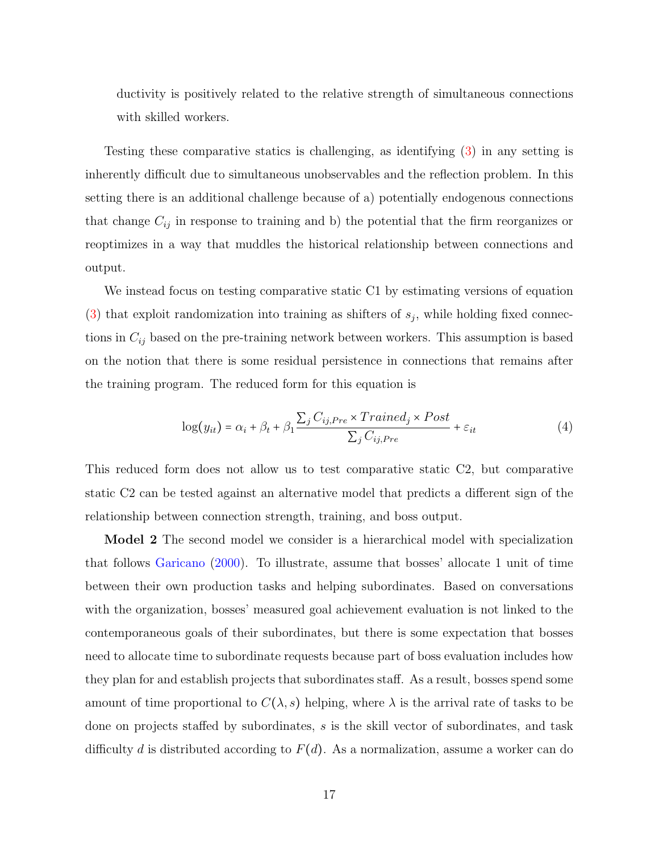ductivity is positively related to the relative strength of simultaneous connections with skilled workers.

Testing these comparative statics is challenging, as identifying [\(3\)](#page-15-0) in any setting is inherently difficult due to simultaneous unobservables and the reflection problem. In this setting there is an additional challenge because of a) potentially endogenous connections that change  $C_{ij}$  in response to training and b) the potential that the firm reorganizes or reoptimizes in a way that muddles the historical relationship between connections and output.

We instead focus on testing comparative static C1 by estimating versions of equation [\(3\)](#page-15-0) that exploit randomization into training as shifters of  $s_j$ , while holding fixed connections in  $C_{ij}$  based on the pre-training network between workers. This assumption is based on the notion that there is some residual persistence in connections that remains after the training program. The reduced form for this equation is

<span id="page-16-0"></span>
$$
\log(y_{it}) = \alpha_i + \beta_t + \beta_1 \frac{\sum_j C_{ij,Pre} \times Triangle_j \times Post}{\sum_j C_{ij,Pre}} + \varepsilon_{it}
$$
 (4)

This reduced form does not allow us to test comparative static C2, but comparative static C2 can be tested against an alternative model that predicts a different sign of the relationship between connection strength, training, and boss output.

Model 2 The second model we consider is a hierarchical model with specialization that follows [Garicano](#page-32-2) [\(2000\)](#page-32-2). To illustrate, assume that bosses' allocate 1 unit of time between their own production tasks and helping subordinates. Based on conversations with the organization, bosses' measured goal achievement evaluation is not linked to the contemporaneous goals of their subordinates, but there is some expectation that bosses need to allocate time to subordinate requests because part of boss evaluation includes how they plan for and establish projects that subordinates staff. As a result, bosses spend some amount of time proportional to  $C(\lambda, s)$  helping, where  $\lambda$  is the arrival rate of tasks to be done on projects staffed by subordinates, s is the skill vector of subordinates, and task difficulty d is distributed according to  $F(d)$ . As a normalization, assume a worker can do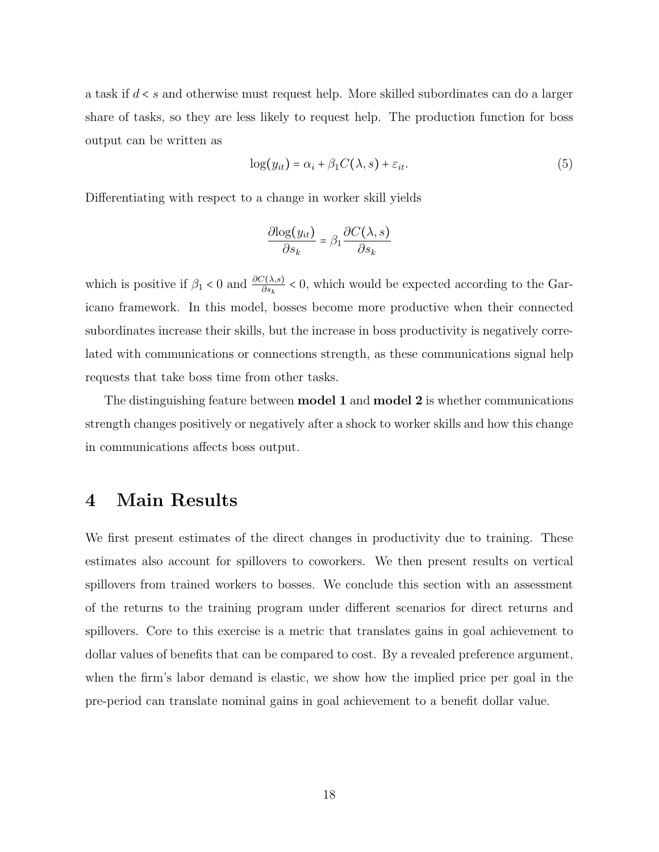a task if d < s and otherwise must request help. More skilled subordinates can do a larger share of tasks, so they are less likely to request help. The production function for boss output can be written as

$$
\log(y_{it}) = \alpha_i + \beta_1 C(\lambda, s) + \varepsilon_{it}.
$$
\n<sup>(5)</sup>

Differentiating with respect to a change in worker skill yields

$$
\frac{\partial \log(y_{it})}{\partial s_k} = \beta_1 \frac{\partial C(\lambda, s)}{\partial s_k}
$$

which is positive if  $\beta_1 < 0$  and  $\frac{\partial C(\lambda,s)}{\partial s_k} < 0$ , which would be expected according to the Garicano framework. In this model, bosses become more productive when their connected subordinates increase their skills, but the increase in boss productivity is negatively correlated with communications or connections strength, as these communications signal help requests that take boss time from other tasks.

The distinguishing feature between model 1 and model 2 is whether communications strength changes positively or negatively after a shock to worker skills and how this change in communications affects boss output.

### <span id="page-17-0"></span>4 Main Results

We first present estimates of the direct changes in productivity due to training. These estimates also account for spillovers to coworkers. We then present results on vertical spillovers from trained workers to bosses. We conclude this section with an assessment of the returns to the training program under different scenarios for direct returns and spillovers. Core to this exercise is a metric that translates gains in goal achievement to dollar values of benefits that can be compared to cost. By a revealed preference argument, when the firm's labor demand is elastic, we show how the implied price per goal in the pre-period can translate nominal gains in goal achievement to a benefit dollar value.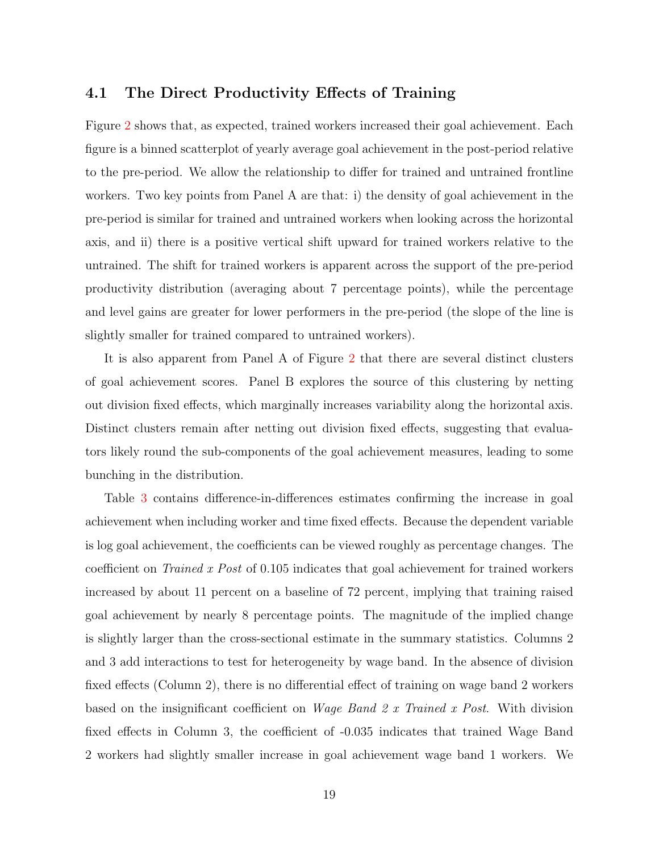### 4.1 The Direct Productivity Effects of Training

Figure [2](#page-35-0) shows that, as expected, trained workers increased their goal achievement. Each figure is a binned scatterplot of yearly average goal achievement in the post-period relative to the pre-period. We allow the relationship to differ for trained and untrained frontline workers. Two key points from Panel A are that: i) the density of goal achievement in the pre-period is similar for trained and untrained workers when looking across the horizontal axis, and ii) there is a positive vertical shift upward for trained workers relative to the untrained. The shift for trained workers is apparent across the support of the pre-period productivity distribution (averaging about 7 percentage points), while the percentage and level gains are greater for lower performers in the pre-period (the slope of the line is slightly smaller for trained compared to untrained workers).

It is also apparent from Panel A of Figure [2](#page-35-0) that there are several distinct clusters of goal achievement scores. Panel B explores the source of this clustering by netting out division fixed effects, which marginally increases variability along the horizontal axis. Distinct clusters remain after netting out division fixed effects, suggesting that evaluators likely round the sub-components of the goal achievement measures, leading to some bunching in the distribution.

Table [3](#page-40-0) contains difference-in-differences estimates confirming the increase in goal achievement when including worker and time fixed effects. Because the dependent variable is log goal achievement, the coefficients can be viewed roughly as percentage changes. The coefficient on Trained x Post of 0.105 indicates that goal achievement for trained workers increased by about 11 percent on a baseline of 72 percent, implying that training raised goal achievement by nearly 8 percentage points. The magnitude of the implied change is slightly larger than the cross-sectional estimate in the summary statistics. Columns 2 and 3 add interactions to test for heterogeneity by wage band. In the absence of division fixed effects (Column 2), there is no differential effect of training on wage band 2 workers based on the insignificant coefficient on Wage Band 2 x Trained x Post. With division fixed effects in Column 3, the coefficient of -0.035 indicates that trained Wage Band 2 workers had slightly smaller increase in goal achievement wage band 1 workers. We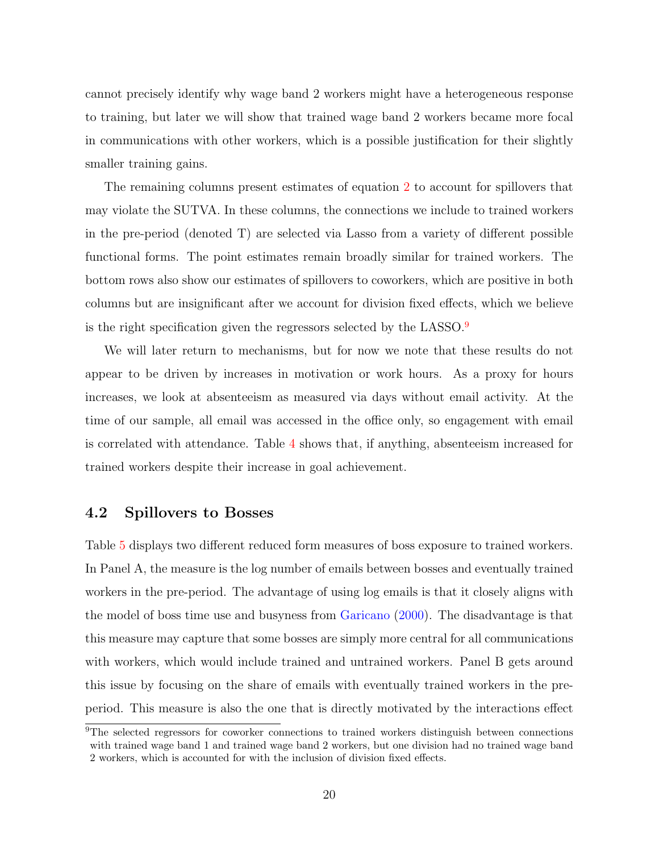cannot precisely identify why wage band 2 workers might have a heterogeneous response to training, but later we will show that trained wage band 2 workers became more focal in communications with other workers, which is a possible justification for their slightly smaller training gains.

The remaining columns present estimates of equation [2](#page-14-1) to account for spillovers that may violate the SUTVA. In these columns, the connections we include to trained workers in the pre-period (denoted T) are selected via Lasso from a variety of different possible functional forms. The point estimates remain broadly similar for trained workers. The bottom rows also show our estimates of spillovers to coworkers, which are positive in both columns but are insignificant after we account for division fixed effects, which we believe is the right specification given the regressors selected by the LASSO.[9](#page-0-0)

We will later return to mechanisms, but for now we note that these results do not appear to be driven by increases in motivation or work hours. As a proxy for hours increases, we look at absenteeism as measured via days without email activity. At the time of our sample, all email was accessed in the office only, so engagement with email is correlated with attendance. Table [4](#page-41-0) shows that, if anything, absenteeism increased for trained workers despite their increase in goal achievement.

### 4.2 Spillovers to Bosses

Table [5](#page-42-0) displays two different reduced form measures of boss exposure to trained workers. In Panel A, the measure is the log number of emails between bosses and eventually trained workers in the pre-period. The advantage of using log emails is that it closely aligns with the model of boss time use and busyness from [Garicano](#page-32-2) [\(2000\)](#page-32-2). The disadvantage is that this measure may capture that some bosses are simply more central for all communications with workers, which would include trained and untrained workers. Panel B gets around this issue by focusing on the share of emails with eventually trained workers in the preperiod. This measure is also the one that is directly motivated by the interactions effect

<sup>&</sup>lt;sup>9</sup>The selected regressors for coworker connections to trained workers distinguish between connections with trained wage band 1 and trained wage band 2 workers, but one division had no trained wage band 2 workers, which is accounted for with the inclusion of division fixed effects.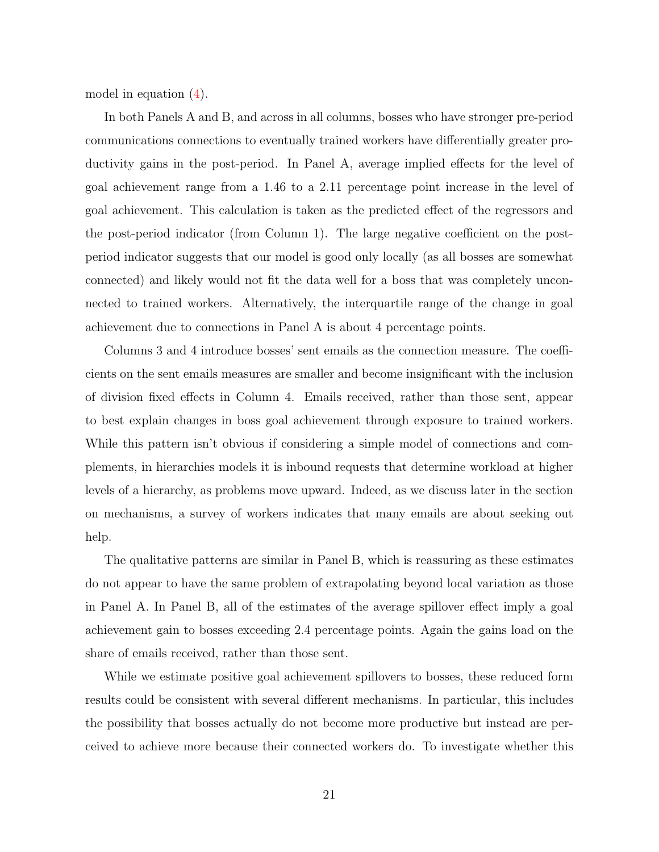model in equation [\(4\)](#page-16-0).

In both Panels A and B, and across in all columns, bosses who have stronger pre-period communications connections to eventually trained workers have differentially greater productivity gains in the post-period. In Panel A, average implied effects for the level of goal achievement range from a 1.46 to a 2.11 percentage point increase in the level of goal achievement. This calculation is taken as the predicted effect of the regressors and the post-period indicator (from Column 1). The large negative coefficient on the postperiod indicator suggests that our model is good only locally (as all bosses are somewhat connected) and likely would not fit the data well for a boss that was completely unconnected to trained workers. Alternatively, the interquartile range of the change in goal achievement due to connections in Panel A is about 4 percentage points.

Columns 3 and 4 introduce bosses' sent emails as the connection measure. The coefficients on the sent emails measures are smaller and become insignificant with the inclusion of division fixed effects in Column 4. Emails received, rather than those sent, appear to best explain changes in boss goal achievement through exposure to trained workers. While this pattern isn't obvious if considering a simple model of connections and complements, in hierarchies models it is inbound requests that determine workload at higher levels of a hierarchy, as problems move upward. Indeed, as we discuss later in the section on mechanisms, a survey of workers indicates that many emails are about seeking out help.

The qualitative patterns are similar in Panel B, which is reassuring as these estimates do not appear to have the same problem of extrapolating beyond local variation as those in Panel A. In Panel B, all of the estimates of the average spillover effect imply a goal achievement gain to bosses exceeding 2.4 percentage points. Again the gains load on the share of emails received, rather than those sent.

While we estimate positive goal achievement spillovers to bosses, these reduced form results could be consistent with several different mechanisms. In particular, this includes the possibility that bosses actually do not become more productive but instead are perceived to achieve more because their connected workers do. To investigate whether this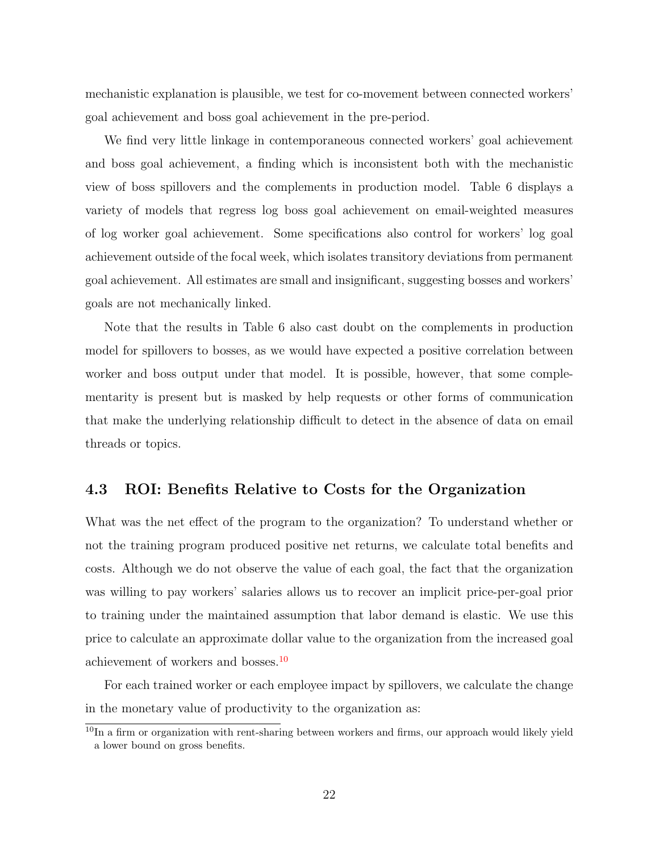mechanistic explanation is plausible, we test for co-movement between connected workers' goal achievement and boss goal achievement in the pre-period.

We find very little linkage in contemporaneous connected workers' goal achievement and boss goal achievement, a finding which is inconsistent both with the mechanistic view of boss spillovers and the complements in production model. Table 6 displays a variety of models that regress log boss goal achievement on email-weighted measures of log worker goal achievement. Some specifications also control for workers' log goal achievement outside of the focal week, which isolates transitory deviations from permanent goal achievement. All estimates are small and insignificant, suggesting bosses and workers' goals are not mechanically linked.

Note that the results in Table 6 also cast doubt on the complements in production model for spillovers to bosses, as we would have expected a positive correlation between worker and boss output under that model. It is possible, however, that some complementarity is present but is masked by help requests or other forms of communication that make the underlying relationship difficult to detect in the absence of data on email threads or topics.

### 4.3 ROI: Benefits Relative to Costs for the Organization

What was the net effect of the program to the organization? To understand whether or not the training program produced positive net returns, we calculate total benefits and costs. Although we do not observe the value of each goal, the fact that the organization was willing to pay workers' salaries allows us to recover an implicit price-per-goal prior to training under the maintained assumption that labor demand is elastic. We use this price to calculate an approximate dollar value to the organization from the increased goal achievement of workers and bosses.[10](#page-0-0)

For each trained worker or each employee impact by spillovers, we calculate the change in the monetary value of productivity to the organization as:

 $10$ In a firm or organization with rent-sharing between workers and firms, our approach would likely yield a lower bound on gross benefits.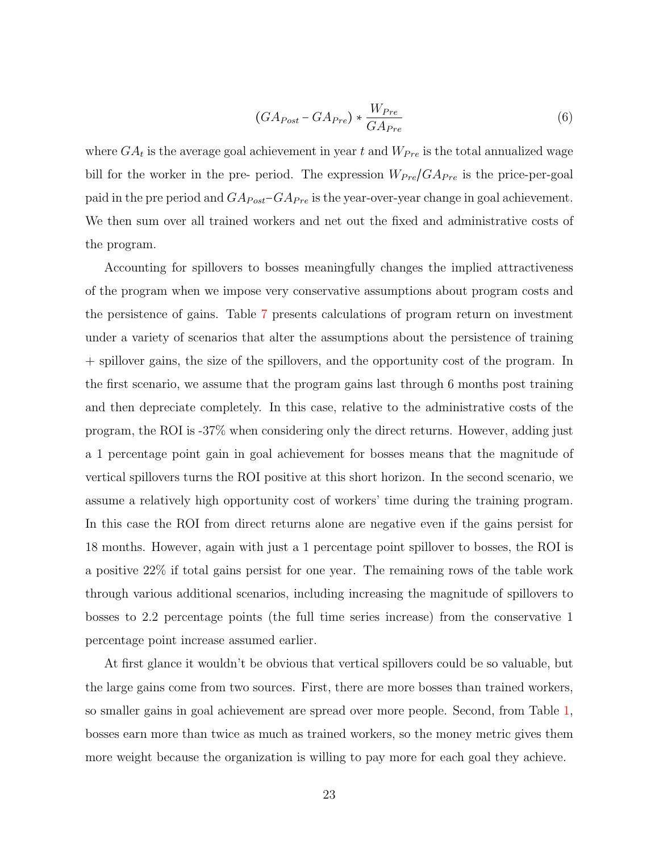<span id="page-22-0"></span>
$$
(GA_{Post} - GA_{Pre}) * \frac{W_{Pre}}{GA_{Pre}} \tag{6}
$$

where  $GA_t$  is the average goal achievement in year t and  $W_{Pre}$  is the total annualized wage bill for the worker in the pre- period. The expression  $W_{Pre}/GA_{Pre}$  is the price-per-goal paid in the pre period and  $GA_{Post}-GA_{Pre}$  is the year-over-year change in goal achievement. We then sum over all trained workers and net out the fixed and administrative costs of the program.

Accounting for spillovers to bosses meaningfully changes the implied attractiveness of the program when we impose very conservative assumptions about program costs and the persistence of gains. Table [7](#page-44-0) presents calculations of program return on investment under a variety of scenarios that alter the assumptions about the persistence of training + spillover gains, the size of the spillovers, and the opportunity cost of the program. In the first scenario, we assume that the program gains last through 6 months post training and then depreciate completely. In this case, relative to the administrative costs of the program, the ROI is -37% when considering only the direct returns. However, adding just a 1 percentage point gain in goal achievement for bosses means that the magnitude of vertical spillovers turns the ROI positive at this short horizon. In the second scenario, we assume a relatively high opportunity cost of workers' time during the training program. In this case the ROI from direct returns alone are negative even if the gains persist for 18 months. However, again with just a 1 percentage point spillover to bosses, the ROI is a positive 22% if total gains persist for one year. The remaining rows of the table work through various additional scenarios, including increasing the magnitude of spillovers to bosses to 2.2 percentage points (the full time series increase) from the conservative 1 percentage point increase assumed earlier.

At first glance it wouldn't be obvious that vertical spillovers could be so valuable, but the large gains come from two sources. First, there are more bosses than trained workers, so smaller gains in goal achievement are spread over more people. Second, from Table [1,](#page-38-0) bosses earn more than twice as much as trained workers, so the money metric gives them more weight because the organization is willing to pay more for each goal they achieve.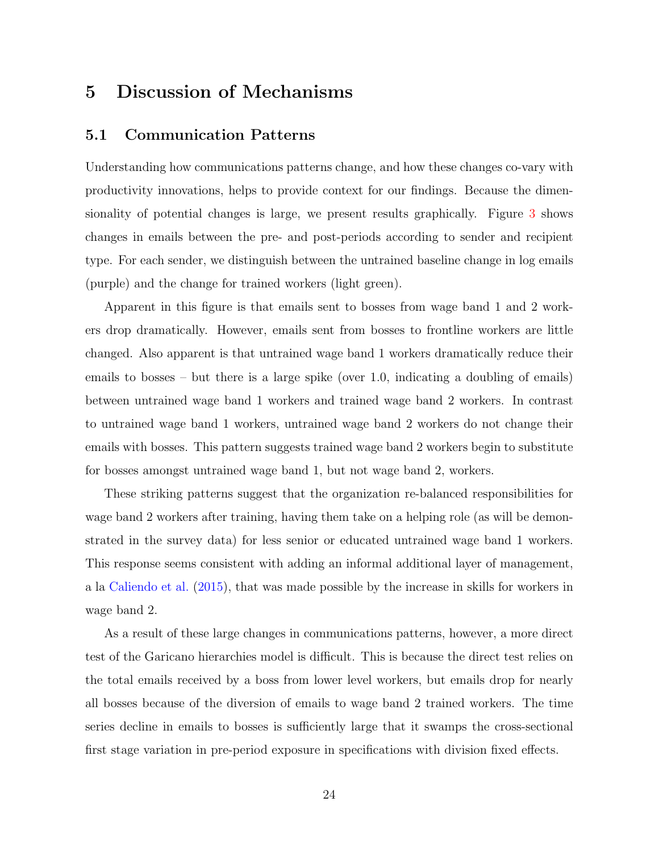### <span id="page-23-0"></span>5 Discussion of Mechanisms

### 5.1 Communication Patterns

Understanding how communications patterns change, and how these changes co-vary with productivity innovations, helps to provide context for our findings. Because the dimensionality of potential changes is large, we present results graphically. Figure [3](#page-36-0) shows changes in emails between the pre- and post-periods according to sender and recipient type. For each sender, we distinguish between the untrained baseline change in log emails (purple) and the change for trained workers (light green).

Apparent in this figure is that emails sent to bosses from wage band 1 and 2 workers drop dramatically. However, emails sent from bosses to frontline workers are little changed. Also apparent is that untrained wage band 1 workers dramatically reduce their emails to bosses – but there is a large spike (over 1.0, indicating a doubling of emails) between untrained wage band 1 workers and trained wage band 2 workers. In contrast to untrained wage band 1 workers, untrained wage band 2 workers do not change their emails with bosses. This pattern suggests trained wage band 2 workers begin to substitute for bosses amongst untrained wage band 1, but not wage band 2, workers.

These striking patterns suggest that the organization re-balanced responsibilities for wage band 2 workers after training, having them take on a helping role (as will be demonstrated in the survey data) for less senior or educated untrained wage band 1 workers. This response seems consistent with adding an informal additional layer of management, a la [Caliendo et al.](#page-32-7) [\(2015\)](#page-32-7), that was made possible by the increase in skills for workers in wage band 2.

As a result of these large changes in communications patterns, however, a more direct test of the Garicano hierarchies model is difficult. This is because the direct test relies on the total emails received by a boss from lower level workers, but emails drop for nearly all bosses because of the diversion of emails to wage band 2 trained workers. The time series decline in emails to bosses is sufficiently large that it swamps the cross-sectional first stage variation in pre-period exposure in specifications with division fixed effects.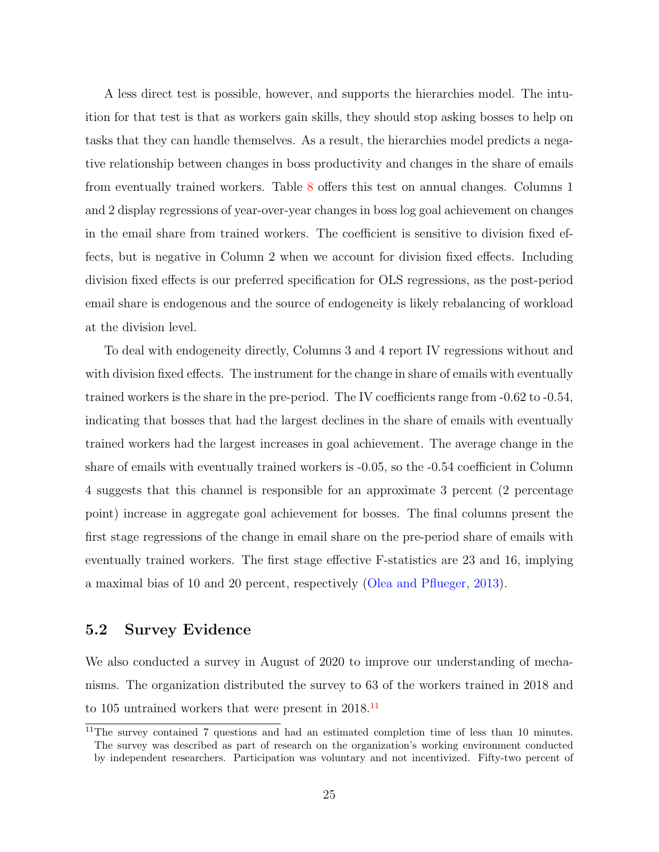A less direct test is possible, however, and supports the hierarchies model. The intuition for that test is that as workers gain skills, they should stop asking bosses to help on tasks that they can handle themselves. As a result, the hierarchies model predicts a negative relationship between changes in boss productivity and changes in the share of emails from eventually trained workers. Table [8](#page-44-1) offers this test on annual changes. Columns 1 and 2 display regressions of year-over-year changes in boss log goal achievement on changes in the email share from trained workers. The coefficient is sensitive to division fixed effects, but is negative in Column 2 when we account for division fixed effects. Including division fixed effects is our preferred specification for OLS regressions, as the post-period email share is endogenous and the source of endogeneity is likely rebalancing of workload at the division level.

To deal with endogeneity directly, Columns 3 and 4 report IV regressions without and with division fixed effects. The instrument for the change in share of emails with eventually trained workers is the share in the pre-period. The IV coefficients range from -0.62 to -0.54, indicating that bosses that had the largest declines in the share of emails with eventually trained workers had the largest increases in goal achievement. The average change in the share of emails with eventually trained workers is -0.05, so the -0.54 coefficient in Column 4 suggests that this channel is responsible for an approximate 3 percent (2 percentage point) increase in aggregate goal achievement for bosses. The final columns present the first stage regressions of the change in email share on the pre-period share of emails with eventually trained workers. The first stage effective F-statistics are 23 and 16, implying a maximal bias of 10 and 20 percent, respectively [\(Olea and Pflueger,](#page-33-6) [2013\)](#page-33-6).

### <span id="page-24-0"></span>5.2 Survey Evidence

We also conducted a survey in August of 2020 to improve our understanding of mechanisms. The organization distributed the survey to 63 of the workers trained in 2018 and to 105 untrained workers that were present in 2018.[11](#page-0-0)

 $11$ The survey contained 7 questions and had an estimated completion time of less than 10 minutes. The survey was described as part of research on the organization's working environment conducted by independent researchers. Participation was voluntary and not incentivized. Fifty-two percent of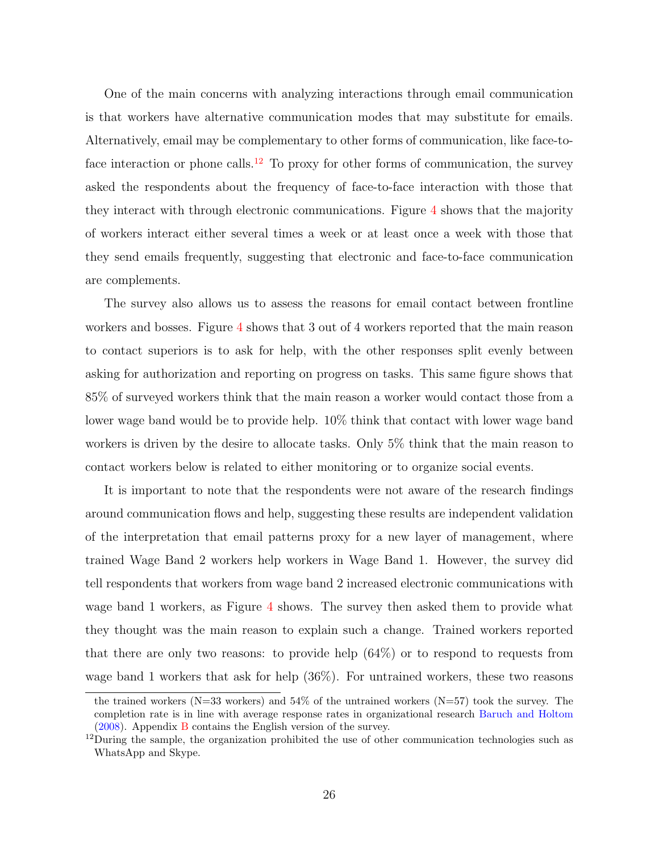One of the main concerns with analyzing interactions through email communication is that workers have alternative communication modes that may substitute for emails. Alternatively, email may be complementary to other forms of communication, like face-to-face interaction or phone calls.<sup>[12](#page-0-0)</sup> To proxy for other forms of communication, the survey asked the respondents about the frequency of face-to-face interaction with those that they interact with through electronic communications. Figure [4](#page-37-0) shows that the majority of workers interact either several times a week or at least once a week with those that they send emails frequently, suggesting that electronic and face-to-face communication are complements.

The survey also allows us to assess the reasons for email contact between frontline workers and bosses. Figure [4](#page-37-0) shows that 3 out of 4 workers reported that the main reason to contact superiors is to ask for help, with the other responses split evenly between asking for authorization and reporting on progress on tasks. This same figure shows that 85% of surveyed workers think that the main reason a worker would contact those from a lower wage band would be to provide help. 10% think that contact with lower wage band workers is driven by the desire to allocate tasks. Only 5% think that the main reason to contact workers below is related to either monitoring or to organize social events.

It is important to note that the respondents were not aware of the research findings around communication flows and help, suggesting these results are independent validation of the interpretation that email patterns proxy for a new layer of management, where trained Wage Band 2 workers help workers in Wage Band 1. However, the survey did tell respondents that workers from wage band 2 increased electronic communications with wage band 1 workers, as Figure [4](#page-37-0) shows. The survey then asked them to provide what they thought was the main reason to explain such a change. Trained workers reported that there are only two reasons: to provide help (64%) or to respond to requests from wage band 1 workers that ask for help (36%). For untrained workers, these two reasons

the trained workers (N=33 workers) and  $54\%$  of the untrained workers (N=57) took the survey. The completion rate is in line with average response rates in organizational research [Baruch and Holtom](#page-31-9) [\(2008\)](#page-31-9). Appendix [B](#page-48-0) contains the English version of the survey.

 $12$ During the sample, the organization prohibited the use of other communication technologies such as WhatsApp and Skype.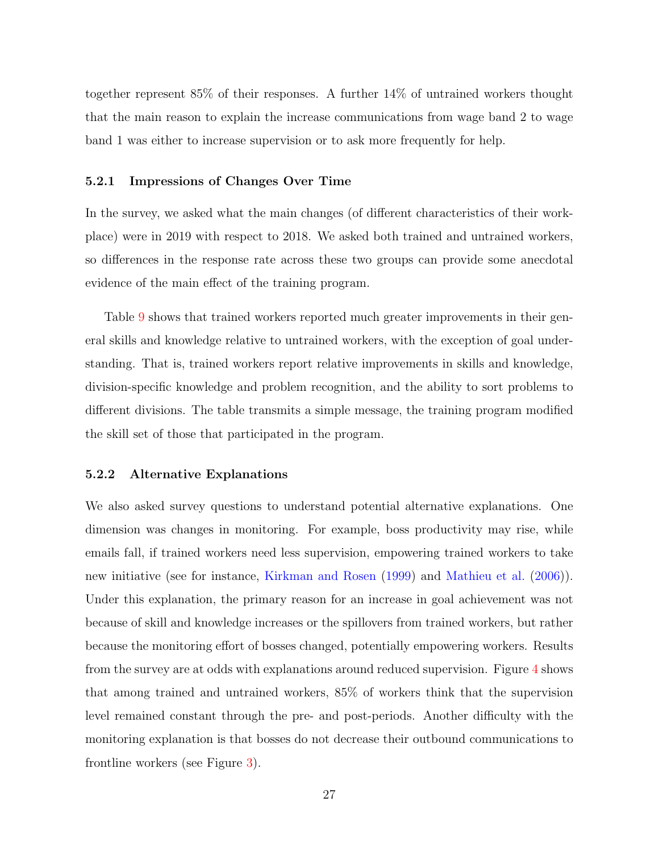together represent 85% of their responses. A further 14% of untrained workers thought that the main reason to explain the increase communications from wage band 2 to wage band 1 was either to increase supervision or to ask more frequently for help.

#### 5.2.1 Impressions of Changes Over Time

In the survey, we asked what the main changes (of different characteristics of their workplace) were in 2019 with respect to 2018. We asked both trained and untrained workers, so differences in the response rate across these two groups can provide some anecdotal evidence of the main effect of the training program.

Table [9](#page-45-0) shows that trained workers reported much greater improvements in their general skills and knowledge relative to untrained workers, with the exception of goal understanding. That is, trained workers report relative improvements in skills and knowledge, division-specific knowledge and problem recognition, and the ability to sort problems to different divisions. The table transmits a simple message, the training program modified the skill set of those that participated in the program.

#### 5.2.2 Alternative Explanations

We also asked survey questions to understand potential alternative explanations. One dimension was changes in monitoring. For example, boss productivity may rise, while emails fall, if trained workers need less supervision, empowering trained workers to take new initiative (see for instance, [Kirkman and Rosen](#page-32-8) [\(1999\)](#page-32-8) and [Mathieu et al.](#page-33-7) [\(2006\)](#page-33-7)). Under this explanation, the primary reason for an increase in goal achievement was not because of skill and knowledge increases or the spillovers from trained workers, but rather because the monitoring effort of bosses changed, potentially empowering workers. Results from the survey are at odds with explanations around reduced supervision. Figure [4](#page-37-0) shows that among trained and untrained workers, 85% of workers think that the supervision level remained constant through the pre- and post-periods. Another difficulty with the monitoring explanation is that bosses do not decrease their outbound communications to frontline workers (see Figure [3\)](#page-36-0).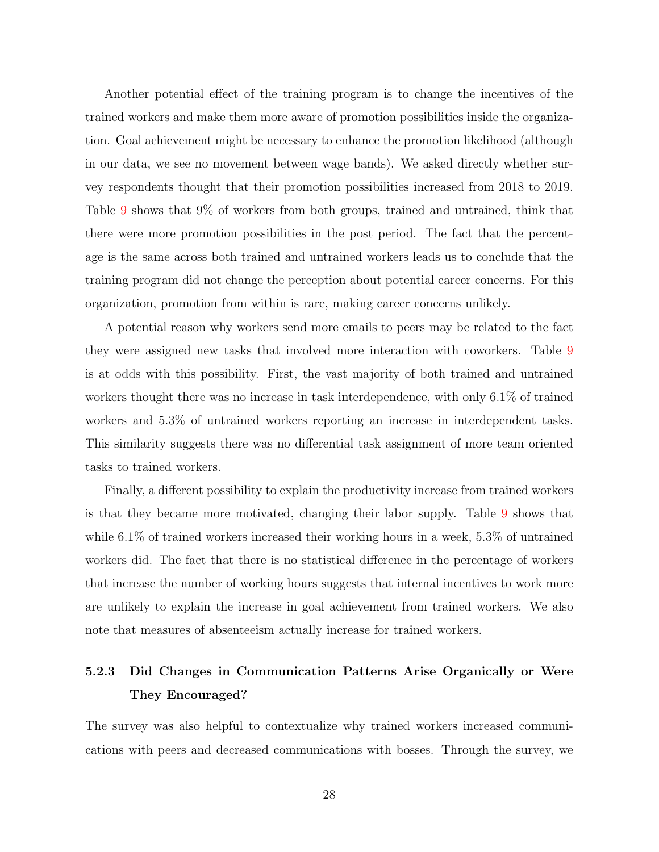Another potential effect of the training program is to change the incentives of the trained workers and make them more aware of promotion possibilities inside the organization. Goal achievement might be necessary to enhance the promotion likelihood (although in our data, we see no movement between wage bands). We asked directly whether survey respondents thought that their promotion possibilities increased from 2018 to 2019. Table [9](#page-45-0) shows that 9% of workers from both groups, trained and untrained, think that there were more promotion possibilities in the post period. The fact that the percentage is the same across both trained and untrained workers leads us to conclude that the training program did not change the perception about potential career concerns. For this organization, promotion from within is rare, making career concerns unlikely.

A potential reason why workers send more emails to peers may be related to the fact they were assigned new tasks that involved more interaction with coworkers. Table [9](#page-45-0) is at odds with this possibility. First, the vast majority of both trained and untrained workers thought there was no increase in task interdependence, with only 6.1% of trained workers and 5.3% of untrained workers reporting an increase in interdependent tasks. This similarity suggests there was no differential task assignment of more team oriented tasks to trained workers.

Finally, a different possibility to explain the productivity increase from trained workers is that they became more motivated, changing their labor supply. Table [9](#page-45-0) shows that while 6.1% of trained workers increased their working hours in a week, 5.3% of untrained workers did. The fact that there is no statistical difference in the percentage of workers that increase the number of working hours suggests that internal incentives to work more are unlikely to explain the increase in goal achievement from trained workers. We also note that measures of absenteeism actually increase for trained workers.

### 5.2.3 Did Changes in Communication Patterns Arise Organically or Were They Encouraged?

The survey was also helpful to contextualize why trained workers increased communications with peers and decreased communications with bosses. Through the survey, we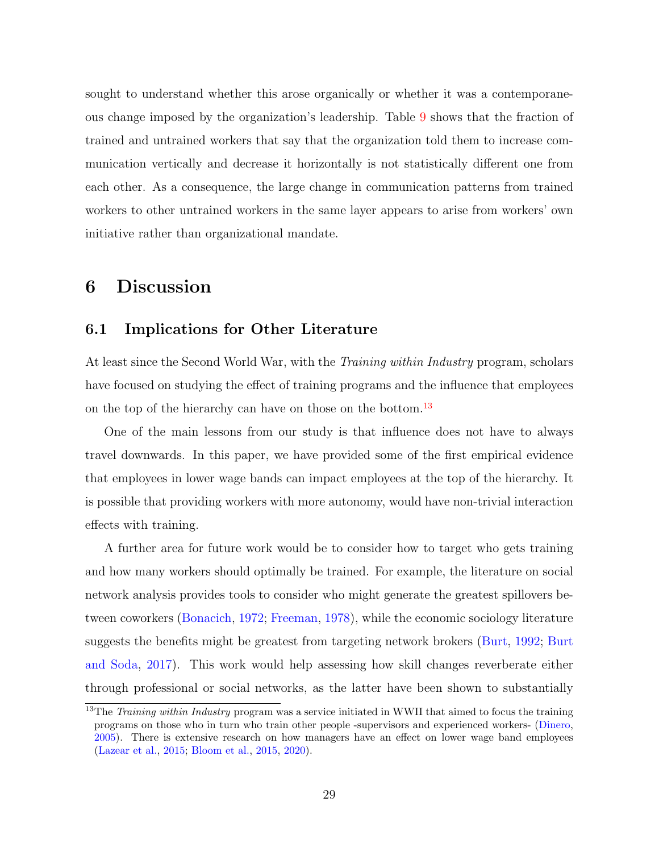sought to understand whether this arose organically or whether it was a contemporaneous change imposed by the organization's leadership. Table [9](#page-45-0) shows that the fraction of trained and untrained workers that say that the organization told them to increase communication vertically and decrease it horizontally is not statistically different one from each other. As a consequence, the large change in communication patterns from trained workers to other untrained workers in the same layer appears to arise from workers' own initiative rather than organizational mandate.

### <span id="page-28-0"></span>6 Discussion

#### 6.1 Implications for Other Literature

At least since the Second World War, with the *Training within Industry* program, scholars have focused on studying the effect of training programs and the influence that employees on the top of the hierarchy can have on those on the bottom.<sup>[13](#page-0-0)</sup>

One of the main lessons from our study is that influence does not have to always travel downwards. In this paper, we have provided some of the first empirical evidence that employees in lower wage bands can impact employees at the top of the hierarchy. It is possible that providing workers with more autonomy, would have non-trivial interaction effects with training.

A further area for future work would be to consider how to target who gets training and how many workers should optimally be trained. For example, the literature on social network analysis provides tools to consider who might generate the greatest spillovers between coworkers [\(Bonacich,](#page-31-10) [1972;](#page-31-10) [Freeman,](#page-32-9) [1978\)](#page-32-9), while the economic sociology literature suggests the benefits might be greatest from targeting network brokers [\(Burt,](#page-32-10) [1992;](#page-32-10) [Burt](#page-32-11) [and Soda,](#page-32-11) [2017\)](#page-32-11). This work would help assessing how skill changes reverberate either through professional or social networks, as the latter have been shown to substantially

<sup>&</sup>lt;sup>13</sup>The *Training within Industry* program was a service initiated in WWII that aimed to focus the training programs on those who in turn who train other people -supervisors and experienced workers- [\(Dinero,](#page-32-12) [2005\)](#page-32-12). There is extensive research on how managers have an effect on lower wage band employees [\(Lazear et al.,](#page-33-4) [2015;](#page-33-4) [Bloom et al.,](#page-31-11) [2015,](#page-31-11) [2020\)](#page-31-12).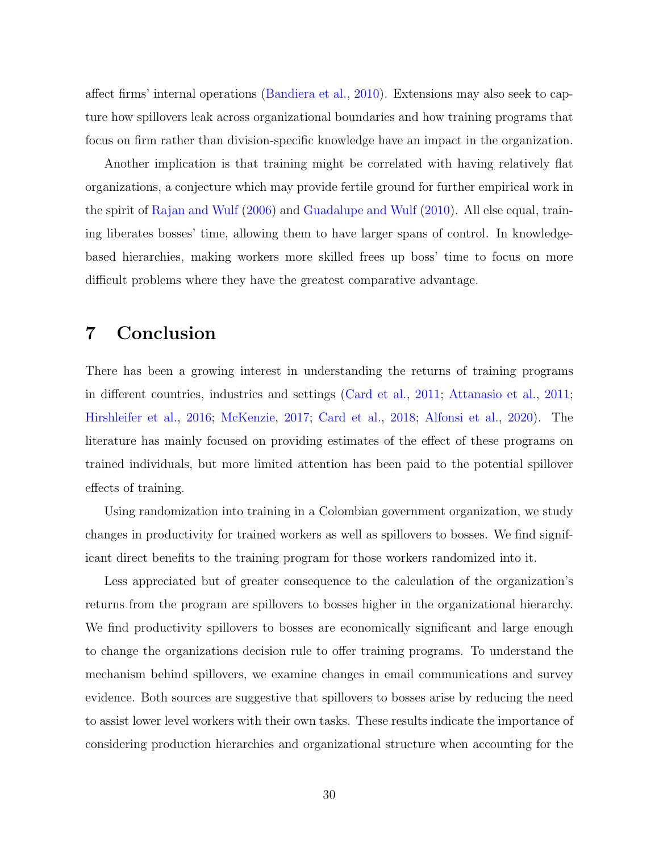affect firms' internal operations [\(Bandiera et al.,](#page-31-13) [2010\)](#page-31-13). Extensions may also seek to capture how spillovers leak across organizational boundaries and how training programs that focus on firm rather than division-specific knowledge have an impact in the organization.

Another implication is that training might be correlated with having relatively flat organizations, a conjecture which may provide fertile ground for further empirical work in the spirit of [Rajan and Wulf](#page-33-8) [\(2006\)](#page-33-8) and [Guadalupe and Wulf](#page-32-13) [\(2010\)](#page-32-13). All else equal, training liberates bosses' time, allowing them to have larger spans of control. In knowledgebased hierarchies, making workers more skilled frees up boss' time to focus on more difficult problems where they have the greatest comparative advantage.

### 7 Conclusion

There has been a growing interest in understanding the returns of training programs in different countries, industries and settings [\(Card et al.,](#page-32-14) [2011;](#page-32-14) [Attanasio et al.,](#page-31-14) [2011;](#page-31-14) [Hirshleifer et al.,](#page-32-15) [2016;](#page-32-15) [McKenzie,](#page-33-9) [2017;](#page-33-9) [Card et al.,](#page-32-1) [2018;](#page-32-1) [Alfonsi et al.,](#page-31-15) [2020\)](#page-31-15). The literature has mainly focused on providing estimates of the effect of these programs on trained individuals, but more limited attention has been paid to the potential spillover effects of training.

Using randomization into training in a Colombian government organization, we study changes in productivity for trained workers as well as spillovers to bosses. We find significant direct benefits to the training program for those workers randomized into it.

Less appreciated but of greater consequence to the calculation of the organization's returns from the program are spillovers to bosses higher in the organizational hierarchy. We find productivity spillovers to bosses are economically significant and large enough to change the organizations decision rule to offer training programs. To understand the mechanism behind spillovers, we examine changes in email communications and survey evidence. Both sources are suggestive that spillovers to bosses arise by reducing the need to assist lower level workers with their own tasks. These results indicate the importance of considering production hierarchies and organizational structure when accounting for the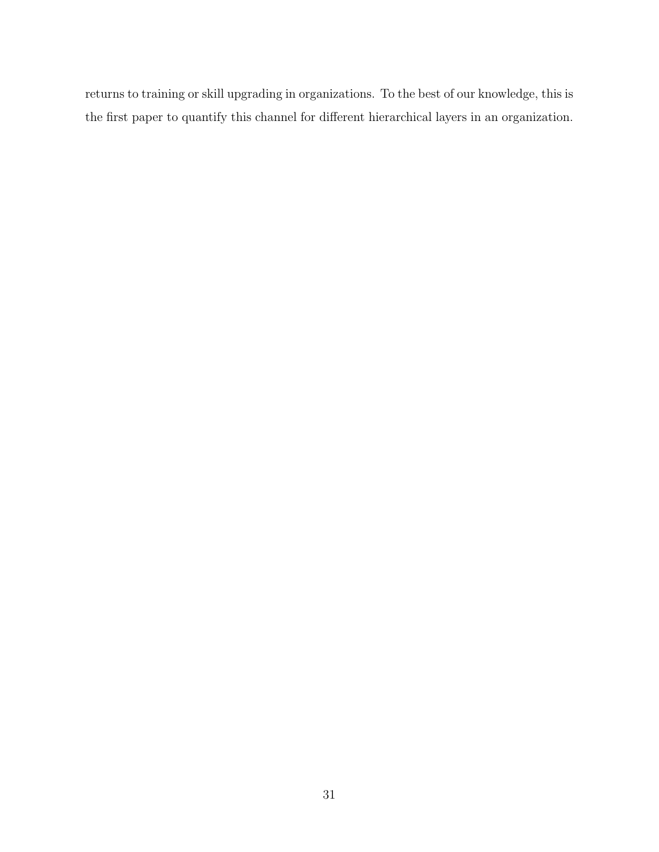returns to training or skill upgrading in organizations. To the best of our knowledge, this is the first paper to quantify this channel for different hierarchical layers in an organization.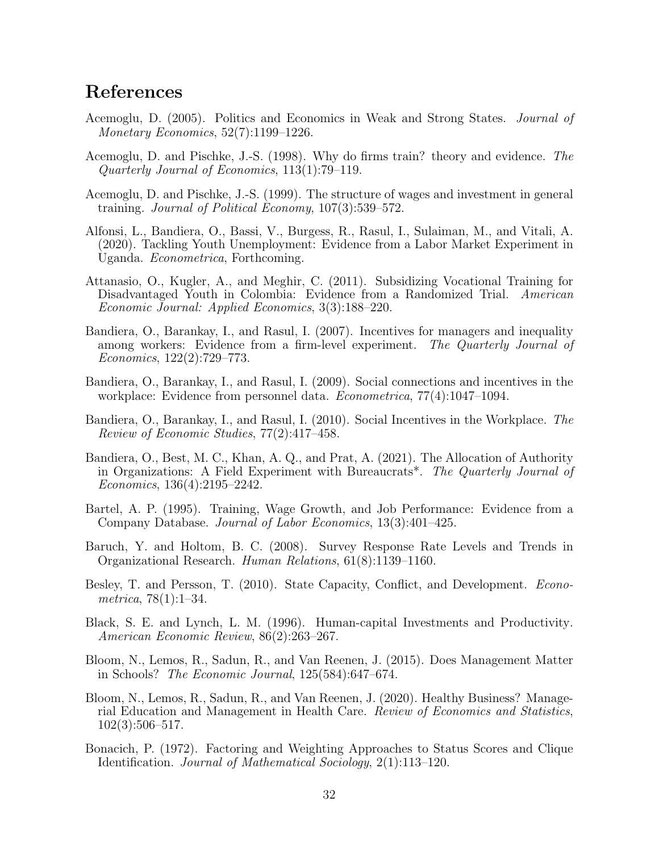### References

- <span id="page-31-6"></span>Acemoglu, D. (2005). Politics and Economics in Weak and Strong States. Journal of Monetary Economics, 52(7):1199–1226.
- <span id="page-31-0"></span>Acemoglu, D. and Pischke, J.-S. (1998). Why do firms train? theory and evidence. The Quarterly Journal of Economics, 113(1):79–119.
- <span id="page-31-1"></span>Acemoglu, D. and Pischke, J.-S. (1999). The structure of wages and investment in general training. Journal of Political Economy, 107(3):539–572.
- <span id="page-31-15"></span>Alfonsi, L., Bandiera, O., Bassi, V., Burgess, R., Rasul, I., Sulaiman, M., and Vitali, A. (2020). Tackling Youth Unemployment: Evidence from a Labor Market Experiment in Uganda. Econometrica, Forthcoming.
- <span id="page-31-14"></span>Attanasio, O., Kugler, A., and Meghir, C. (2011). Subsidizing Vocational Training for Disadvantaged Youth in Colombia: Evidence from a Randomized Trial. American Economic Journal: Applied Economics, 3(3):188–220.
- <span id="page-31-4"></span>Bandiera, O., Barankay, I., and Rasul, I. (2007). Incentives for managers and inequality among workers: Evidence from a firm-level experiment. The Quarterly Journal of Economics, 122(2):729–773.
- <span id="page-31-5"></span>Bandiera, O., Barankay, I., and Rasul, I. (2009). Social connections and incentives in the workplace: Evidence from personnel data. Econometrica, 77(4):1047–1094.
- <span id="page-31-13"></span>Bandiera, O., Barankay, I., and Rasul, I. (2010). Social Incentives in the Workplace. The Review of Economic Studies, 77(2):417–458.
- <span id="page-31-8"></span>Bandiera, O., Best, M. C., Khan, A. Q., and Prat, A. (2021). The Allocation of Authority in Organizations: A Field Experiment with Bureaucrats\*. The Quarterly Journal of Economics, 136(4):2195–2242.
- <span id="page-31-2"></span>Bartel, A. P. (1995). Training, Wage Growth, and Job Performance: Evidence from a Company Database. Journal of Labor Economics, 13(3):401–425.
- <span id="page-31-9"></span>Baruch, Y. and Holtom, B. C. (2008). Survey Response Rate Levels and Trends in Organizational Research. Human Relations, 61(8):1139–1160.
- <span id="page-31-7"></span>Besley, T. and Persson, T. (2010). State Capacity, Conflict, and Development. *Econo*metrica, 78(1):1–34.
- <span id="page-31-3"></span>Black, S. E. and Lynch, L. M. (1996). Human-capital Investments and Productivity. American Economic Review, 86(2):263–267.
- <span id="page-31-11"></span>Bloom, N., Lemos, R., Sadun, R., and Van Reenen, J. (2015). Does Management Matter in Schools? The Economic Journal, 125(584):647–674.
- <span id="page-31-12"></span>Bloom, N., Lemos, R., Sadun, R., and Van Reenen, J. (2020). Healthy Business? Managerial Education and Management in Health Care. Review of Economics and Statistics, 102(3):506–517.
- <span id="page-31-10"></span>Bonacich, P. (1972). Factoring and Weighting Approaches to Status Scores and Clique Identification. Journal of Mathematical Sociology, 2(1):113–120.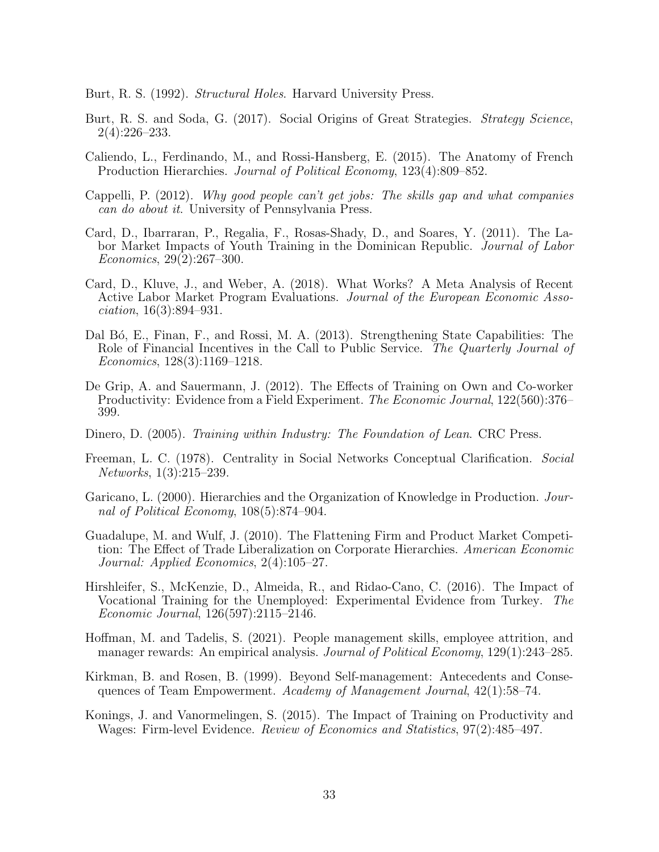- <span id="page-32-10"></span>Burt, R. S. (1992). *Structural Holes*. Harvard University Press.
- <span id="page-32-11"></span>Burt, R. S. and Soda, G. (2017). Social Origins of Great Strategies. *Strategy Science*, 2(4):226–233.
- <span id="page-32-7"></span>Caliendo, L., Ferdinando, M., and Rossi-Hansberg, E. (2015). The Anatomy of French Production Hierarchies. Journal of Political Economy, 123(4):809–852.
- <span id="page-32-0"></span>Cappelli, P. (2012). Why good people can't get jobs: The skills gap and what companies can do about it. University of Pennsylvania Press.
- <span id="page-32-14"></span>Card, D., Ibarraran, P., Regalia, F., Rosas-Shady, D., and Soares, Y. (2011). The Labor Market Impacts of Youth Training in the Dominican Republic. Journal of Labor Economics, 29(2):267–300.
- <span id="page-32-1"></span>Card, D., Kluve, J., and Weber, A. (2018). What Works? A Meta Analysis of Recent Active Labor Market Program Evaluations. Journal of the European Economic Association, 16(3):894–931.
- <span id="page-32-6"></span>Dal Bó, E., Finan, F., and Rossi, M. A. (2013). Strengthening State Capabilities: The Role of Financial Incentives in the Call to Public Service. The Quarterly Journal of Economics, 128(3):1169–1218.
- <span id="page-32-4"></span>De Grip, A. and Sauermann, J. (2012). The Effects of Training on Own and Co-worker Productivity: Evidence from a Field Experiment. *The Economic Journal*, 122(560):376– 399.
- <span id="page-32-12"></span>Dinero, D. (2005). Training within Industry: The Foundation of Lean. CRC Press.
- <span id="page-32-9"></span>Freeman, L. C. (1978). Centrality in Social Networks Conceptual Clarification. Social Networks, 1(3):215–239.
- <span id="page-32-2"></span>Garicano, L. (2000). Hierarchies and the Organization of Knowledge in Production. Journal of Political Economy, 108(5):874–904.
- <span id="page-32-13"></span>Guadalupe, M. and Wulf, J. (2010). The Flattening Firm and Product Market Competition: The Effect of Trade Liberalization on Corporate Hierarchies. American Economic Journal: Applied Economics, 2(4):105–27.
- <span id="page-32-15"></span>Hirshleifer, S., McKenzie, D., Almeida, R., and Ridao-Cano, C. (2016). The Impact of Vocational Training for the Unemployed: Experimental Evidence from Turkey. The Economic Journal, 126(597):2115–2146.
- <span id="page-32-5"></span>Hoffman, M. and Tadelis, S. (2021). People management skills, employee attrition, and manager rewards: An empirical analysis. Journal of Political Economy, 129(1):243–285.
- <span id="page-32-8"></span>Kirkman, B. and Rosen, B. (1999). Beyond Self-management: Antecedents and Consequences of Team Empowerment. Academy of Management Journal, 42(1):58–74.
- <span id="page-32-3"></span>Konings, J. and Vanormelingen, S. (2015). The Impact of Training on Productivity and Wages: Firm-level Evidence. Review of Economics and Statistics, 97(2):485–497.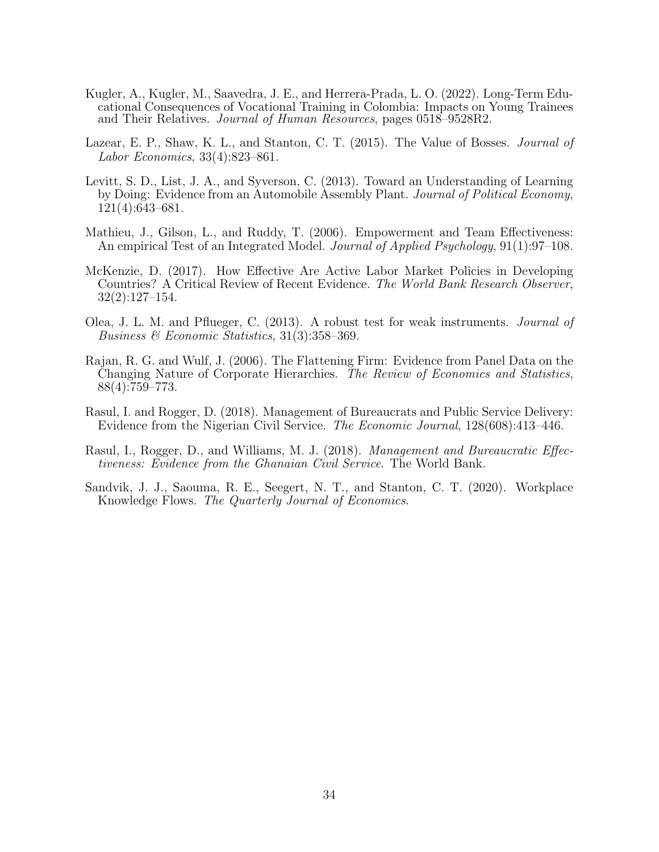- <span id="page-33-5"></span>Kugler, A., Kugler, M., Saavedra, J. E., and Herrera-Prada, L. O. (2022). Long-Term Educational Consequences of Vocational Training in Colombia: Impacts on Young Trainees and Their Relatives. *Journal of Human Resources*, pages 0518–9528R2.
- <span id="page-33-4"></span>Lazear, E. P., Shaw, K. L., and Stanton, C. T. (2015). The Value of Bosses. *Journal of* Labor Economics, 33(4):823–861.
- <span id="page-33-2"></span>Levitt, S. D., List, J. A., and Syverson, C. (2013). Toward an Understanding of Learning by Doing: Evidence from an Automobile Assembly Plant. Journal of Political Economy, 121(4):643–681.
- <span id="page-33-7"></span>Mathieu, J., Gilson, L., and Ruddy, T. (2006). Empowerment and Team Effectiveness: An empirical Test of an Integrated Model. *Journal of Applied Psychology*, 91(1):97–108.
- <span id="page-33-9"></span>McKenzie, D. (2017). How Effective Are Active Labor Market Policies in Developing Countries? A Critical Review of Recent Evidence. The World Bank Research Observer, 32(2):127–154.
- <span id="page-33-6"></span>Olea, J. L. M. and Pflueger, C. (2013). A robust test for weak instruments. Journal of Business & Economic Statistics, 31(3):358–369.
- <span id="page-33-8"></span>Rajan, R. G. and Wulf, J. (2006). The Flattening Firm: Evidence from Panel Data on the Changing Nature of Corporate Hierarchies. *The Review of Economics and Statistics*, 88(4):759–773.
- <span id="page-33-0"></span>Rasul, I. and Rogger, D. (2018). Management of Bureaucrats and Public Service Delivery: Evidence from the Nigerian Civil Service. The Economic Journal, 128(608):413–446.
- <span id="page-33-1"></span>Rasul, I., Rogger, D., and Williams, M. J. (2018). *Management and Bureaucratic Effec*tiveness: Evidence from the Ghanaian Civil Service. The World Bank.
- <span id="page-33-3"></span>Sandvik, J. J., Saouma, R. E., Seegert, N. T., and Stanton, C. T. (2020). Workplace Knowledge Flows. The Quarterly Journal of Economics.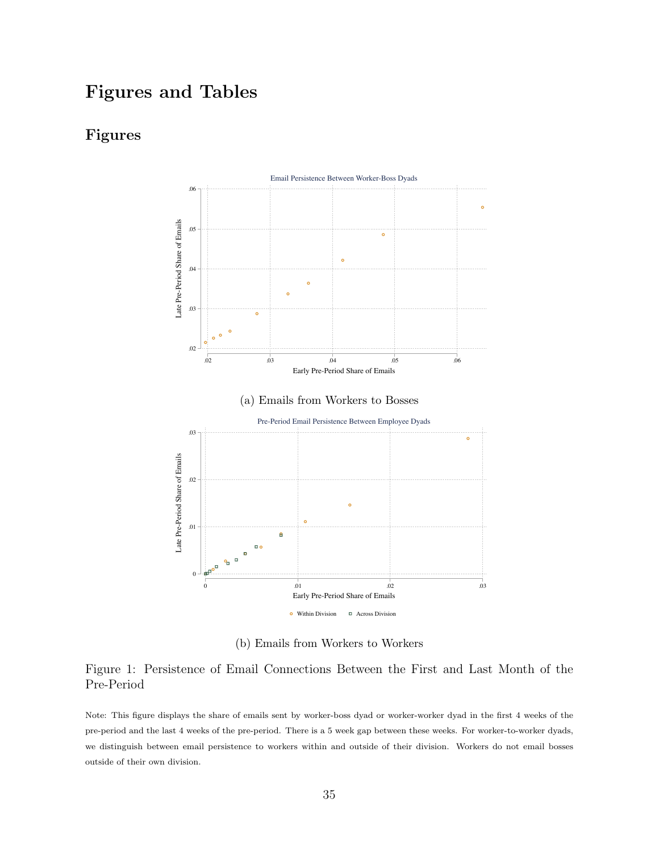## Figures and Tables

### <span id="page-34-0"></span>Figures



(b) Emails from Workers to Workers

### Figure 1: Persistence of Email Connections Between the First and Last Month of the Pre-Period

Note: This figure displays the share of emails sent by worker-boss dyad or worker-worker dyad in the first 4 weeks of the pre-period and the last 4 weeks of the pre-period. There is a 5 week gap between these weeks. For worker-to-worker dyads, we distinguish between email persistence to workers within and outside of their division. Workers do not email bosses outside of their own division.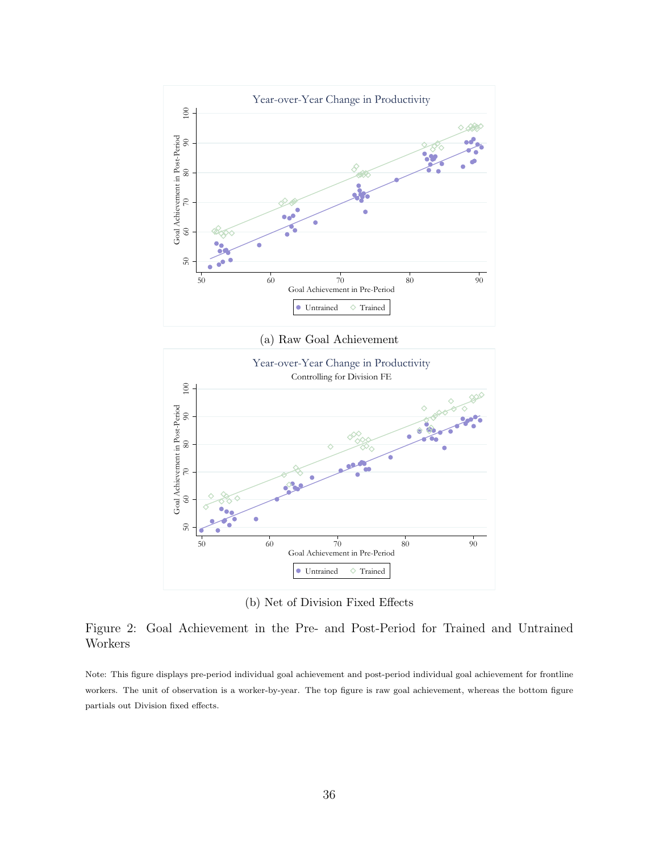<span id="page-35-0"></span>

(a) Raw Goal Achievement



(b) Net of Division Fixed Effects

Figure 2: Goal Achievement in the Pre- and Post-Period for Trained and Untrained Workers

Note: This figure displays pre-period individual goal achievement and post-period individual goal achievement for frontline workers. The unit of observation is a worker-by-year. The top figure is raw goal achievement, whereas the bottom figure partials out Division fixed effects.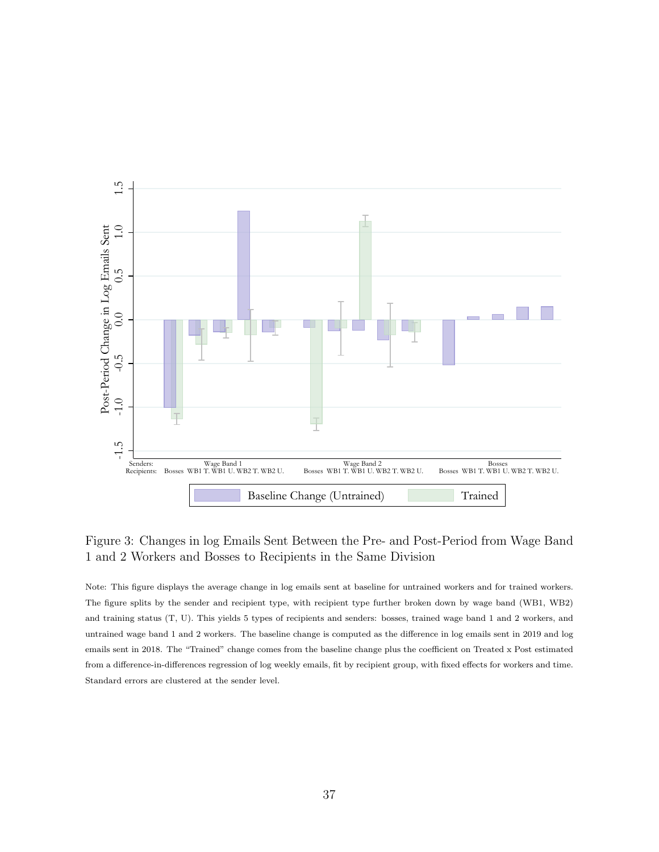<span id="page-36-0"></span>

Figure 3: Changes in log Emails Sent Between the Pre- and Post-Period from Wage Band 1 and 2 Workers and Bosses to Recipients in the Same Division

Note: This figure displays the average change in log emails sent at baseline for untrained workers and for trained workers. The figure splits by the sender and recipient type, with recipient type further broken down by wage band (WB1, WB2) and training status (T, U). This yields 5 types of recipients and senders: bosses, trained wage band 1 and 2 workers, and untrained wage band 1 and 2 workers. The baseline change is computed as the difference in log emails sent in 2019 and log emails sent in 2018. The "Trained" change comes from the baseline change plus the coefficient on Treated x Post estimated from a difference-in-differences regression of log weekly emails, fit by recipient group, with fixed effects for workers and time. Standard errors are clustered at the sender level.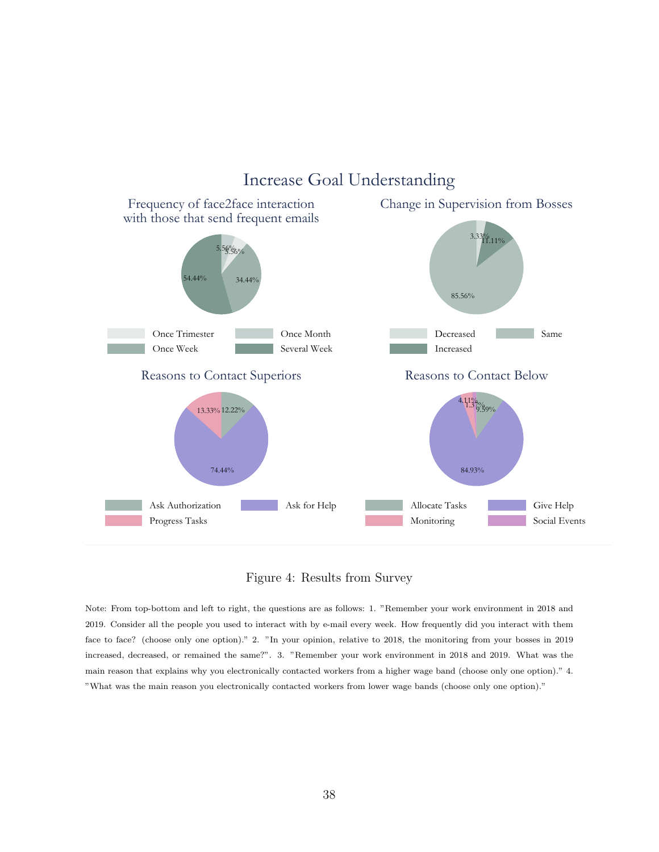<span id="page-37-0"></span>

## Increase Goal Understanding

#### Figure 4: Results from Survey

Note: From top-bottom and left to right, the questions are as follows: 1. "Remember your work environment in 2018 and 2019. Consider all the people you used to interact with by e-mail every week. How frequently did you interact with them face to face? (choose only one option)." 2. "In your opinion, relative to 2018, the monitoring from your bosses in 2019 increased, decreased, or remained the same?". 3. "Remember your work environment in 2018 and 2019. What was the main reason that explains why you electronically contacted workers from a higher wage band (choose only one option)." 4. "What was the main reason you electronically contacted workers from lower wage bands (choose only one option)."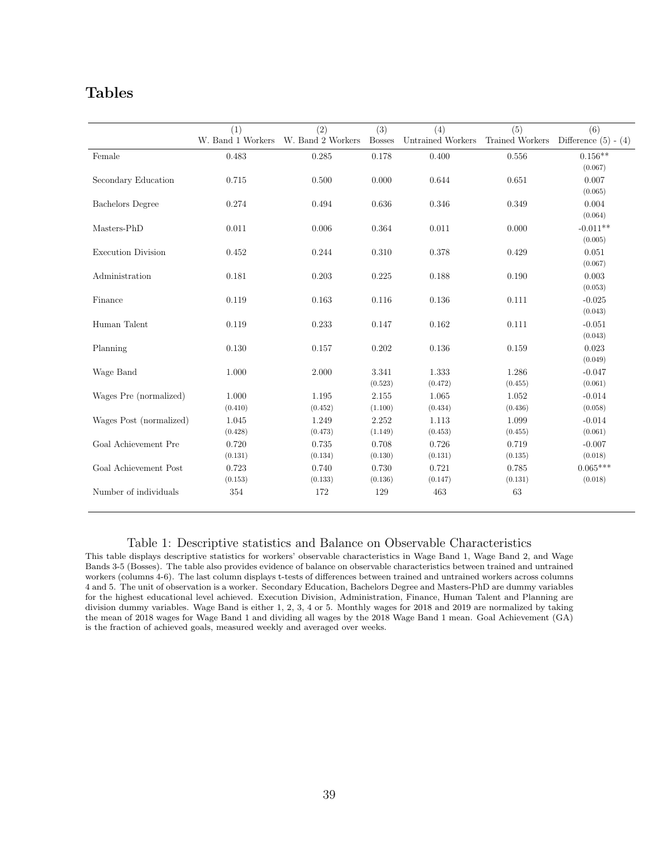### Tables

<span id="page-38-0"></span>

|                           | (1)               | (2)               | (3)           | (4)               | (5)             | (6)                      |
|---------------------------|-------------------|-------------------|---------------|-------------------|-----------------|--------------------------|
|                           | W. Band 1 Workers | W. Band 2 Workers | <b>Bosses</b> | Untrained Workers | Trained Workers | Difference $(5)$ - $(4)$ |
| Female                    | 0.483             | 0.285             | 0.178         | 0.400             | $0.556\,$       | $0.156**$                |
|                           |                   |                   |               |                   |                 | (0.067)                  |
| Secondary Education       | 0.715             | 0.500             | 0.000         | 0.644             | 0.651           | 0.007                    |
|                           |                   |                   |               |                   |                 | (0.065)                  |
| <b>Bachelors</b> Degree   | 0.274             | 0.494             | 0.636         | 0.346             | 0.349           | 0.004                    |
|                           |                   |                   |               |                   |                 | (0.064)                  |
| Masters-PhD               | 0.011             | 0.006             | 0.364         | 0.011             | 0.000           | $-0.011**$               |
|                           |                   |                   |               |                   |                 | (0.005)                  |
| <b>Execution Division</b> | 0.452             | 0.244             | 0.310         | 0.378             | 0.429           | 0.051                    |
|                           |                   |                   |               |                   |                 | (0.067)                  |
| Administration            | 0.181             | 0.203             | 0.225         | 0.188             | 0.190           | 0.003                    |
|                           |                   |                   |               |                   |                 | (0.053)                  |
| Finance                   | 0.119             | 0.163             | 0.116         | 0.136             | 0.111           | $-0.025$                 |
|                           |                   |                   |               |                   |                 | (0.043)                  |
| Human Talent              | 0.119             | 0.233             | 0.147         | 0.162             | 0.111           | $-0.051$                 |
|                           |                   |                   |               |                   |                 | (0.043)                  |
| Planning                  | 0.130             | 0.157             | 0.202         | 0.136             | 0.159           | 0.023                    |
|                           |                   |                   |               |                   |                 | (0.049)                  |
| Wage Band                 | 1.000             | 2.000             | 3.341         | 1.333             | 1.286           | $-0.047$                 |
|                           |                   |                   | (0.523)       | (0.472)           | (0.455)         | (0.061)                  |
| Wages Pre (normalized)    | 1.000             | 1.195             | 2.155         | 1.065             | 1.052           | $-0.014$                 |
|                           | (0.410)           | (0.452)           | (1.100)       | (0.434)           | (0.436)         | (0.058)                  |
| Wages Post (normalized)   | 1.045             | 1.249             | 2.252         | 1.113             | 1.099           | $-0.014$                 |
|                           | (0.428)           | (0.473)           | (1.149)       | (0.453)           | (0.455)         | (0.061)                  |
| Goal Achievement Pre      | 0.720             | 0.735             | 0.708         | 0.726             | 0.719           | $-0.007$                 |
|                           | (0.131)           | (0.134)           | (0.130)       | (0.131)           | (0.135)         | (0.018)                  |
| Goal Achievement Post     | 0.723             | 0.740             | 0.730         | 0.721             | 0.785           | $0.065***$               |
|                           | (0.153)           | (0.133)           | (0.136)       | (0.147)           | (0.131)         | (0.018)                  |
| Number of individuals     | 354               | 172               | 129           | 463               | 63              |                          |

#### Table 1: Descriptive statistics and Balance on Observable Characteristics

This table displays descriptive statistics for workers' observable characteristics in Wage Band 1, Wage Band 2, and Wage Bands 3-5 (Bosses). The table also provides evidence of balance on observable characteristics between trained and untrained workers (columns 4-6). The last column displays t-tests of differences between trained and untrained workers across columns 4 and 5. The unit of observation is a worker. Secondary Education, Bachelors Degree and Masters-PhD are dummy variables for the highest educational level achieved. Execution Division, Administration, Finance, Human Talent and Planning are division dummy variables. Wage Band is either 1, 2, 3, 4 or 5. Monthly wages for 2018 and 2019 are normalized by taking the mean of 2018 wages for Wage Band 1 and dividing all wages by the 2018 Wage Band 1 mean. Goal Achievement (GA) is the fraction of achieved goals, measured weekly and averaged over weeks.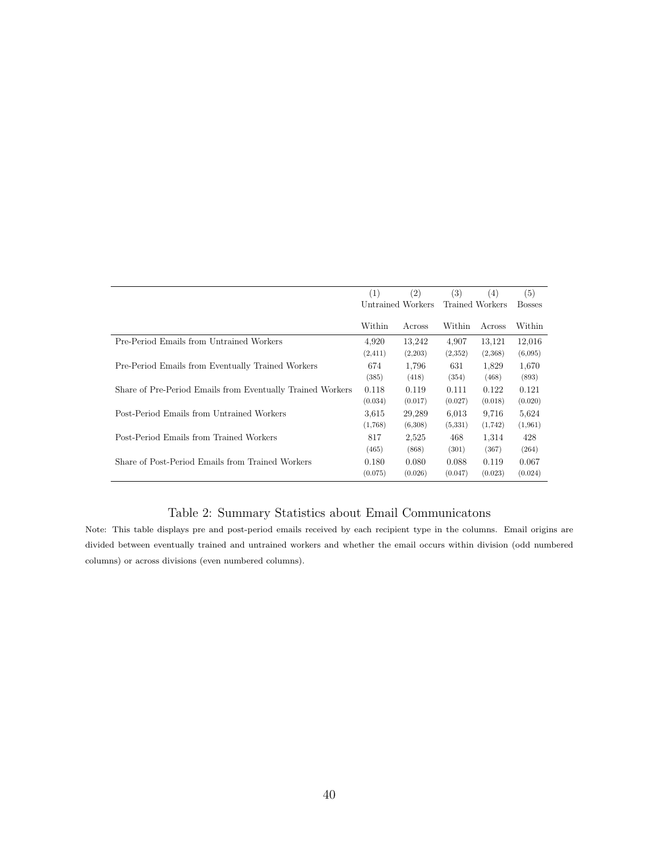<span id="page-39-0"></span>

|                                                            | (1)               | (2)     | $\left( 3\right)$ | (4)     | (5)           |
|------------------------------------------------------------|-------------------|---------|-------------------|---------|---------------|
|                                                            | Untrained Workers |         | Trained Workers   |         | <b>Bosses</b> |
|                                                            |                   |         |                   |         |               |
|                                                            | Within            | Across  | Within            | Across  | Within        |
| Pre-Period Emails from Untrained Workers                   | 4,920             | 13,242  | 4,907             | 13,121  | 12,016        |
|                                                            | (2, 411)          | (2,203) | (2,352)           | (2,368) | (6,095)       |
| Pre-Period Emails from Eventually Trained Workers          | 674               | 1,796   | 631               | 1,829   | 1,670         |
|                                                            | (385)             | (418)   | (354)             | (468)   | (893)         |
| Share of Pre-Period Emails from Eventually Trained Workers | 0.118             | 0.119   | 0.111             | 0.122   | 0.121         |
|                                                            | (0.034)           | (0.017) | (0.027)           | (0.018) | (0.020)       |
| Post-Period Emails from Untrained Workers                  | 3.615             | 29,289  | 6.013             | 9,716   | 5.624         |
|                                                            | (1,768)           | (6,308) | (5,331)           | (1,742) | (1,961)       |
| Post-Period Emails from Trained Workers                    | 817               | 2,525   | 468               | 1,314   | 428           |
|                                                            | (465)             | (868)   | (301)             | (367)   | (264)         |
| Share of Post-Period Emails from Trained Workers           | 0.180             | 0.080   | 0.088             | 0.119   | 0.067         |
|                                                            | (0.075)           | (0.026) | (0.047)           | (0.023) | (0.024)       |

### Table 2: Summary Statistics about Email Communicatons

Note: This table displays pre and post-period emails received by each recipient type in the columns. Email origins are divided between eventually trained and untrained workers and whether the email occurs within division (odd numbered columns) or across divisions (even numbered columns).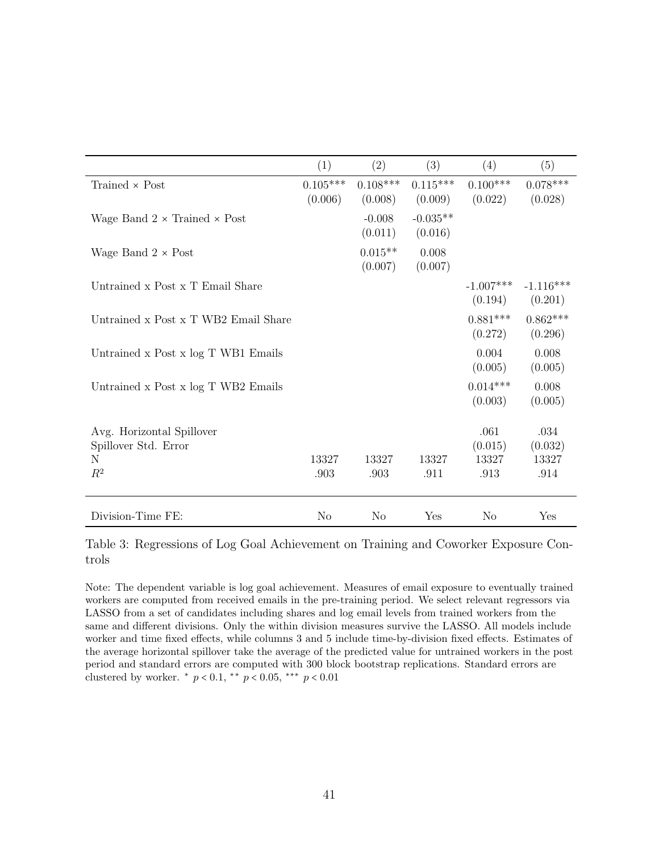<span id="page-40-0"></span>

|                                                   | (1)                   | (2)                   | (3)                   | (4)                    | (5)                    |
|---------------------------------------------------|-----------------------|-----------------------|-----------------------|------------------------|------------------------|
| Trained $\times$ Post                             | $0.105***$<br>(0.006) | $0.108***$<br>(0.008) | $0.115***$<br>(0.009) | $0.100***$<br>(0.022)  | $0.078***$<br>(0.028)  |
| Wage Band $2 \times$ Trained $\times$ Post        |                       | $-0.008$<br>(0.011)   | $-0.035**$<br>(0.016) |                        |                        |
| Wage Band $2 \times$ Post                         |                       | $0.015**$<br>(0.007)  | 0.008<br>(0.007)      |                        |                        |
| Untrained x Post x T Email Share                  |                       |                       |                       | $-1.007***$<br>(0.194) | $-1.116***$<br>(0.201) |
| Untrained x Post x T WB2 Email Share              |                       |                       |                       | $0.881***$<br>(0.272)  | $0.862***$<br>(0.296)  |
| Untrained x Post x log T WB1 Emails               |                       |                       |                       | 0.004<br>(0.005)       | 0.008<br>(0.005)       |
| Untrained x Post x log T WB2 Emails               |                       |                       |                       | $0.014***$<br>(0.003)  | 0.008<br>(0.005)       |
| Avg. Horizontal Spillover<br>Spillover Std. Error |                       |                       |                       | .061<br>(0.015)        | .034<br>(0.032)        |
| N                                                 | 13327                 | 13327                 | 13327                 | 13327                  | 13327                  |
| $R^2$                                             | .903                  | .903                  | .911                  | .913                   | .914                   |
| Division-Time FE:                                 | No                    | No                    | Yes                   | No                     | Yes                    |

Table 3: Regressions of Log Goal Achievement on Training and Coworker Exposure Controls

Note: The dependent variable is log goal achievement. Measures of email exposure to eventually trained workers are computed from received emails in the pre-training period. We select relevant regressors via LASSO from a set of candidates including shares and log email levels from trained workers from the same and different divisions. Only the within division measures survive the LASSO. All models include worker and time fixed effects, while columns 3 and 5 include time-by-division fixed effects. Estimates of the average horizontal spillover take the average of the predicted value for untrained workers in the post period and standard errors are computed with 300 block bootstrap replications. Standard errors are clustered by worker.  $* p < 0.1$ ,  $** p < 0.05$ ,  $** p < 0.01$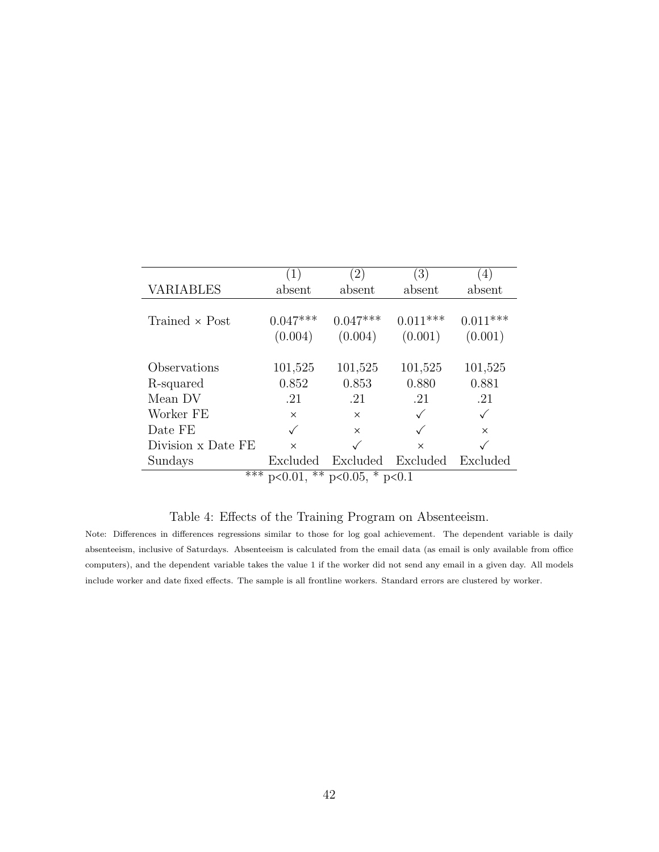<span id="page-41-0"></span>

|                    | (1)                   | (2)                                            | (3)                   | (4)                   |
|--------------------|-----------------------|------------------------------------------------|-----------------------|-----------------------|
| <b>VARIABLES</b>   | absent                | absent                                         | absent                | absent                |
| Trained × Post     | $0.047***$<br>(0.004) | $0.047***$<br>(0.004)                          | $0.011***$<br>(0.001) | $0.011***$<br>(0.001) |
| Observations       | 101,525               | 101,525                                        | 101,525               | 101,525               |
| R-squared          | 0.852                 | 0.853                                          | 0.880                 | 0.881                 |
| Mean DV            | .21                   | .21                                            | .21                   | .21                   |
| Worker FE          | $\times$              | $\times$                                       |                       |                       |
| Date FE            |                       | $\times$                                       |                       | $\times$              |
| Division x Date FE | $\times$              |                                                | $\times$              |                       |
| Sundays            | Excluded              | Excluded                                       | Excluded              | Excluded              |
| ***                |                       | $\overline{p}$ <0.01, ** $p$ <0.05, * $p$ <0.1 |                       |                       |

### Table 4: Effects of the Training Program on Absenteeism.

Ĭ.

Note: Differences in differences regressions similar to those for log goal achievement. The dependent variable is daily absenteeism, inclusive of Saturdays. Absenteeism is calculated from the email data (as email is only available from office computers), and the dependent variable takes the value 1 if the worker did not send any email in a given day. All models include worker and date fixed effects. The sample is all frontline workers. Standard errors are clustered by worker.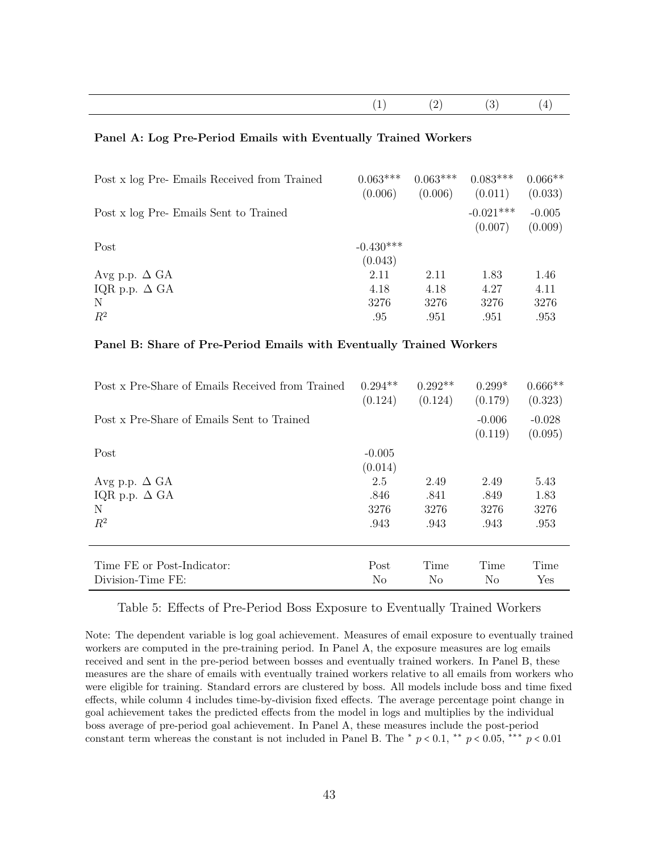<span id="page-42-0"></span>

#### Panel A: Log Pre-Period Emails with Eventually Trained Workers

| Post x log Pre-Emails Received from Trained | $0.063***$<br>(0.006)  | $0.063***$<br>(0.006) | $0.083***$<br>(0.011)  | $0.066**$<br>(0.033) |
|---------------------------------------------|------------------------|-----------------------|------------------------|----------------------|
| Post x log Pre-Emails Sent to Trained       |                        |                       | $-0.021***$<br>(0.007) | $-0.005$<br>(0.009)  |
| Post                                        | $-0.430***$<br>(0.043) |                       |                        |                      |
| Avg p.p. $\Delta$ GA                        | 2.11                   | 2.11                  | 1.83                   | 1.46                 |
| IQR p.p. $\Delta$ GA                        | 4.18                   | 4.18                  | 4.27                   | 4.11                 |
| N                                           | 3276                   | 3276                  | 3276                   | 3276                 |
| $R^2$                                       | .95                    | .951                  | .951                   | .953                 |

#### Panel B: Share of Pre-Period Emails with Eventually Trained Workers

| Post x Pre-Share of Emails Received from Trained | $0.294**$<br>(0.124) | $0.292**$<br>(0.124) | $0.299*$<br>(0.179) | $0.666**$<br>(0.323) |
|--------------------------------------------------|----------------------|----------------------|---------------------|----------------------|
| Post x Pre-Share of Emails Sent to Trained       |                      |                      | $-0.006$<br>(0.119) | $-0.028$<br>(0.095)  |
| Post                                             | $-0.005$             |                      |                     |                      |
|                                                  | (0.014)              |                      |                     |                      |
| Avg p.p. $\Delta$ GA                             | 2.5                  | 2.49                 | 2.49                | 5.43                 |
| IQR p.p. $\Delta$ GA                             | .846                 | .841                 | .849                | 1.83                 |
| N                                                | 3276                 | 3276                 | 3276                | 3276                 |
| $R^2$                                            | .943                 | .943                 | .943                | .953                 |
| Time FE or Post-Indicator:                       | Post                 | Time                 | Time                | Time                 |
| Division-Time FE:                                | N <sub>0</sub>       | No                   | No                  | Yes                  |
|                                                  |                      |                      |                     |                      |

#### Table 5: Effects of Pre-Period Boss Exposure to Eventually Trained Workers

Note: The dependent variable is log goal achievement. Measures of email exposure to eventually trained workers are computed in the pre-training period. In Panel A, the exposure measures are log emails received and sent in the pre-period between bosses and eventually trained workers. In Panel B, these measures are the share of emails with eventually trained workers relative to all emails from workers who were eligible for training. Standard errors are clustered by boss. All models include boss and time fixed effects, while column 4 includes time-by-division fixed effects. The average percentage point change in goal achievement takes the predicted effects from the model in logs and multiplies by the individual boss average of pre-period goal achievement. In Panel A, these measures include the post-period constant term whereas the constant is not included in Panel B. The  $\ast$  p < 0.1,  $\ast \ast$  p < 0.05,  $\ast \ast$  p < 0.01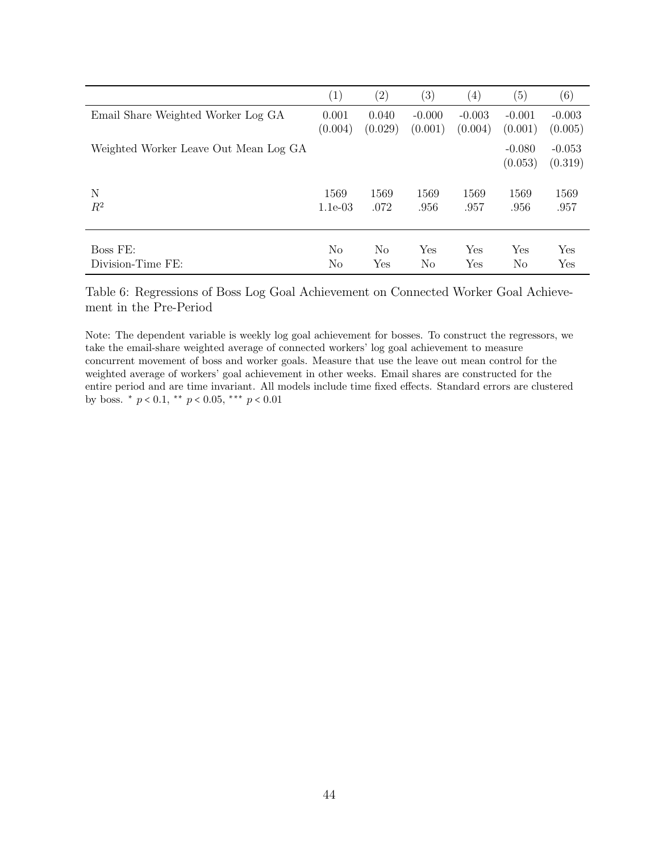|                                       | (1)            | $\left( 2\right)$ | $\left( 3\right)$ | $\left( 4\right)$ | (5)                 | $\left( 6\right)$   |
|---------------------------------------|----------------|-------------------|-------------------|-------------------|---------------------|---------------------|
| Email Share Weighted Worker Log GA    | 0.001          | 0.040             | $-0.000$          | $-0.003$          | $-0.001$            | $-0.003$            |
|                                       | (0.004)        | (0.029)           | (0.001)           | (0.004)           | (0.001)             | (0.005)             |
| Weighted Worker Leave Out Mean Log GA |                |                   |                   |                   | $-0.080$<br>(0.053) | $-0.053$<br>(0.319) |
| N                                     | 1569           | 1569              | 1569              | 1569              | 1569                | 1569                |
| $R^2$                                 | $1.1e-03$      | .072              | .956              | .957              | .956                | .957                |
| Boss FE:                              | N <sub>o</sub> | No                | Yes               | Yes               | Yes                 | Yes                 |
| Division-Time FE:                     | N <sub>o</sub> | $_{\rm Yes}$      | No                | Yes               | No                  | $_{\rm Yes}$        |

Table 6: Regressions of Boss Log Goal Achievement on Connected Worker Goal Achievement in the Pre-Period

Note: The dependent variable is weekly log goal achievement for bosses. To construct the regressors, we take the email-share weighted average of connected workers' log goal achievement to measure concurrent movement of boss and worker goals. Measure that use the leave out mean control for the weighted average of workers' goal achievement in other weeks. Email shares are constructed for the entire period and are time invariant. All models include time fixed effects. Standard errors are clustered by boss.  $* p < 0.1$ ,  $** p < 0.05$ ,  $** p < 0.01$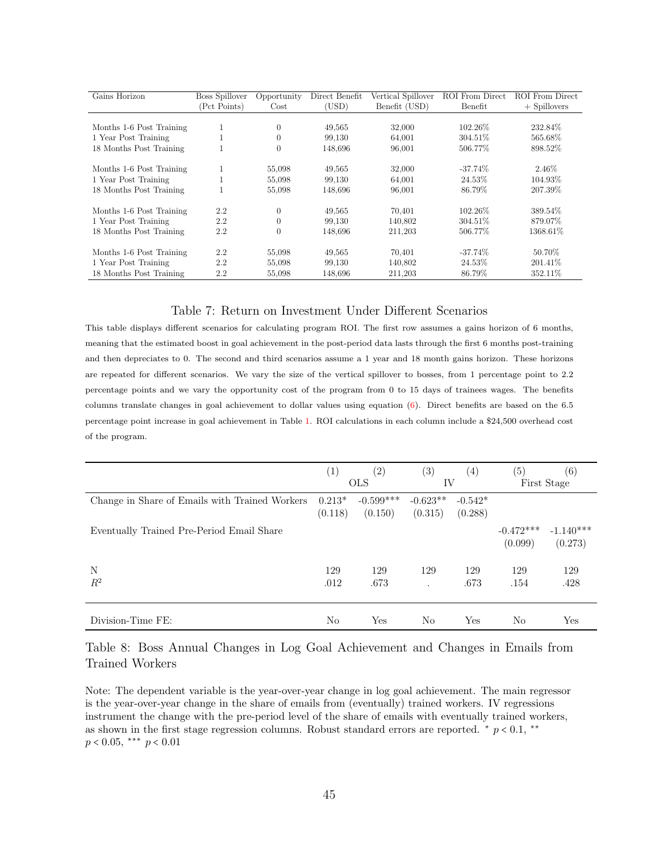<span id="page-44-0"></span>

| Gains Horizon            | <b>Boss Spillover</b> | Opportunity | Direct Benefit | Vertical Spillover | <b>ROI</b> From Direct | <b>ROI</b> From Direct |
|--------------------------|-----------------------|-------------|----------------|--------------------|------------------------|------------------------|
|                          | (Pct Points)          | $\cos t$    | (USD)          | Benefit (USD)      | Benefit                | $+$ Spillovers         |
|                          |                       |             |                |                    |                        |                        |
| Months 1-6 Post Training | T                     | $\theta$    | 49,565         | 32,000             | 102.26\%               | 232.84\%               |
| 1 Year Post Training     |                       | $\Omega$    | 99.130         | 64.001             | 304.51%                | 565.68%                |
| 18 Months Post Training  |                       | $\theta$    | 148,696        | 96,001             | 506.77%                | 898.52%                |
| Months 1-6 Post Training |                       | 55,098      | 49,565         | 32,000             | $-37.74\%$             | 2.46\%                 |
| 1 Year Post Training     |                       | 55,098      | 99,130         | 64,001             | 24.53%                 | 104.93%                |
| 18 Months Post Training  |                       | 55,098      | 148,696        | 96,001             | 86.79%                 | 207.39%                |
| Months 1-6 Post Training | $2.2\,$               | $\theta$    | 49,565         | 70,401             | 102.26\%               | 389.54\%               |
| 1 Year Post Training     | $2.2\,$               | $\theta$    | 99.130         | 140.802            | 304.51%                | 879.07%                |
| 18 Months Post Training  | $2.2\,$               | $\theta$    | 148.696        | 211,203            | 506.77%                | 1368.61%               |
| Months 1-6 Post Training | $2.2\,$               | 55,098      | 49.565         | 70.401             | $-37.74%$              | 50.70%                 |
| 1 Year Post Training     | 2.2                   | 55,098      | 99,130         | 140,802            | 24.53%                 | 201.41\%               |
| 18 Months Post Training  | 2.2                   | 55,098      | 148.696        | 211,203            | 86.79%                 | 352.11\%               |

#### Table 7: Return on Investment Under Different Scenarios

This table displays different scenarios for calculating program ROI. The first row assumes a gains horizon of 6 months, meaning that the estimated boost in goal achievement in the post-period data lasts through the first 6 months post-training and then depreciates to 0. The second and third scenarios assume a 1 year and 18 month gains horizon. These horizons are repeated for different scenarios. We vary the size of the vertical spillover to bosses, from 1 percentage point to 2.2 percentage points and we vary the opportunity cost of the program from 0 to 15 days of trainees wages. The benefits columns translate changes in goal achievement to dollar values using equation [\(6\)](#page-22-0). Direct benefits are based on the 6.5 percentage point increase in goal achievement in Table [1.](#page-38-0) ROI calculations in each column include a \$24,500 overhead cost of the program.

<span id="page-44-1"></span>

|                                                | (1)                 | $\left( 2\right)$      | (3)                   | (4)                  | (5)                    | (6)                    |
|------------------------------------------------|---------------------|------------------------|-----------------------|----------------------|------------------------|------------------------|
|                                                |                     | <b>OLS</b>             | IV                    |                      |                        | First Stage            |
| Change in Share of Emails with Trained Workers | $0.213*$<br>(0.118) | $-0.599***$<br>(0.150) | $-0.623**$<br>(0.315) | $-0.542*$<br>(0.288) |                        |                        |
| Eventually Trained Pre-Period Email Share      |                     |                        |                       |                      | $-0.472***$<br>(0.099) | $-1.140***$<br>(0.273) |
| N                                              | 129                 | 129                    | 129                   | 129                  | 129                    | 129                    |
| $R^2$                                          | .012                | .673                   |                       | .673                 | .154                   | .428                   |
| Division-Time FE:                              | N <sub>o</sub>      | Yes                    | N <sub>o</sub>        | Yes                  | No                     | Yes                    |

#### Table 8: Boss Annual Changes in Log Goal Achievement and Changes in Emails from Trained Workers

Note: The dependent variable is the year-over-year change in log goal achievement. The main regressor is the year-over-year change in the share of emails from (eventually) trained workers. IV regressions instrument the change with the pre-period level of the share of emails with eventually trained workers, as shown in the first stage regression columns. Robust standard errors are reported.  $*$   $p < 0.1$ ,  $**$  $p < 0.05$ , \*\*\*  $p < 0.01$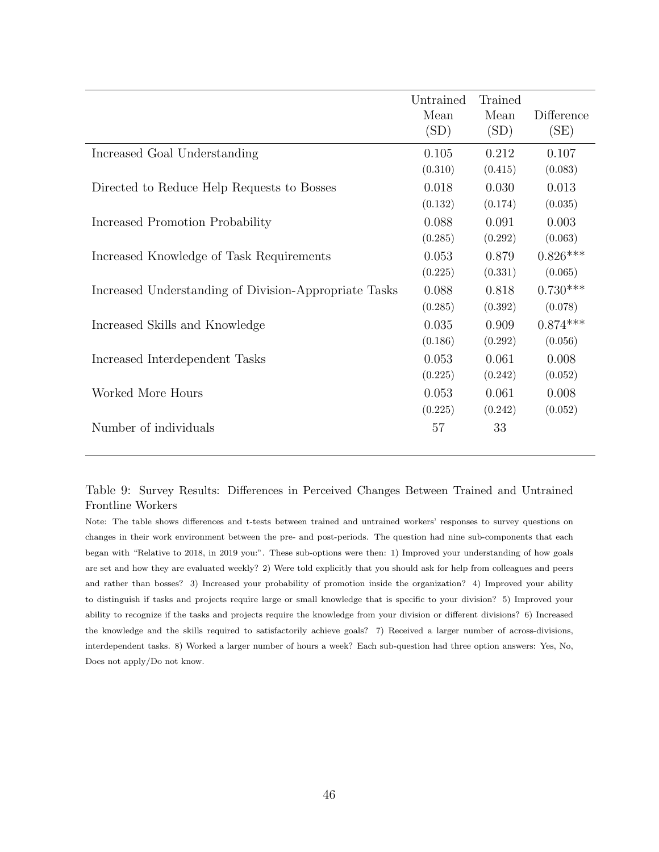<span id="page-45-0"></span>

|                                                       | Untrained<br>Mean<br>(SD) | Trained<br>Mean<br>(SD) | Difference<br>(SE) |
|-------------------------------------------------------|---------------------------|-------------------------|--------------------|
| Increased Goal Understanding                          | 0.105                     | 0.212                   | 0.107              |
|                                                       | (0.310)                   | (0.415)                 | (0.083)            |
| Directed to Reduce Help Requests to Bosses            | 0.018                     | 0.030                   | 0.013              |
|                                                       | (0.132)                   | (0.174)                 | (0.035)            |
| Increased Promotion Probability                       | 0.088                     | 0.091                   | 0.003              |
|                                                       | (0.285)                   | (0.292)                 | (0.063)            |
| Increased Knowledge of Task Requirements              | 0.053                     | 0.879                   | $0.826***$         |
|                                                       | (0.225)                   | (0.331)                 | (0.065)            |
| Increased Understanding of Division-Appropriate Tasks | 0.088                     | 0.818                   | $0.730***$         |
|                                                       | (0.285)                   | (0.392)                 | (0.078)            |
| Increased Skills and Knowledge                        | 0.035                     | 0.909                   | $0.874***$         |
|                                                       | (0.186)                   | (0.292)                 | (0.056)            |
| Increased Interdependent Tasks                        | 0.053                     | 0.061                   | 0.008              |
|                                                       | (0.225)                   | (0.242)                 | (0.052)            |
| Worked More Hours                                     | 0.053                     | 0.061                   | 0.008              |
|                                                       | (0.225)                   | (0.242)                 | (0.052)            |
| Number of individuals                                 | 57                        | 33                      |                    |

Table 9: Survey Results: Differences in Perceived Changes Between Trained and Untrained Frontline Workers

Note: The table shows differences and t-tests between trained and untrained workers' responses to survey questions on changes in their work environment between the pre- and post-periods. The question had nine sub-components that each began with "Relative to 2018, in 2019 you:". These sub-options were then: 1) Improved your understanding of how goals are set and how they are evaluated weekly? 2) Were told explicitly that you should ask for help from colleagues and peers and rather than bosses? 3) Increased your probability of promotion inside the organization? 4) Improved your ability to distinguish if tasks and projects require large or small knowledge that is specific to your division? 5) Improved your ability to recognize if the tasks and projects require the knowledge from your division or different divisions? 6) Increased the knowledge and the skills required to satisfactorily achieve goals? 7) Received a larger number of across-divisions, interdependent tasks. 8) Worked a larger number of hours a week? Each sub-question had three option answers: Yes, No, Does not apply/Do not know.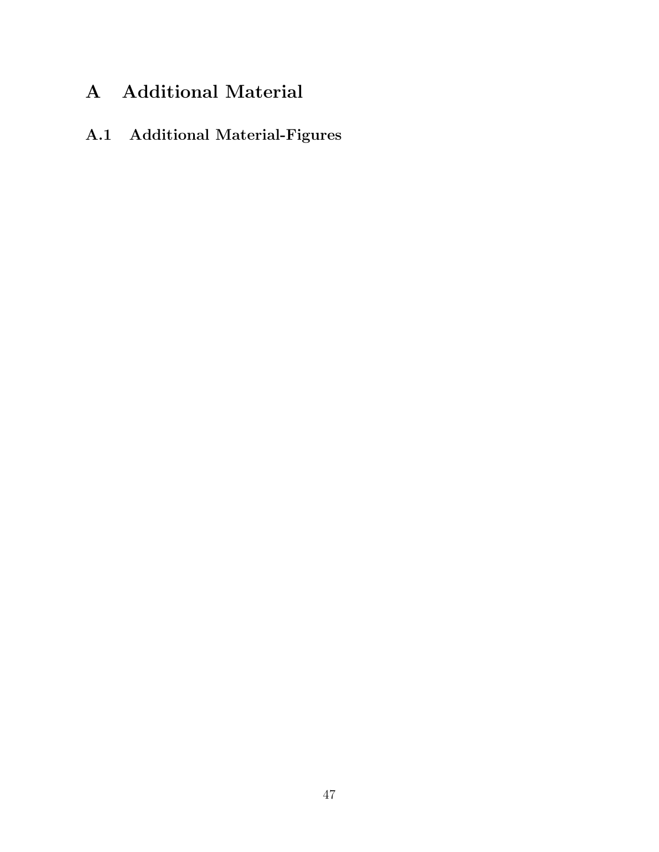# A Additional Material

## A.1 Additional Material-Figures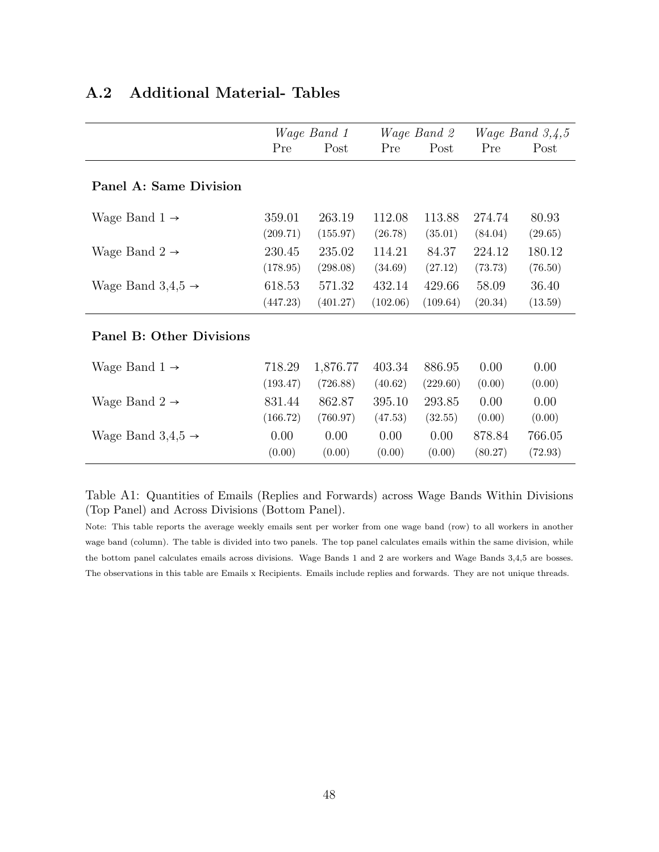|                                 | <i>Wage Band 1</i> |                |                | <i>Wage Band 2</i> |                   | <i>Wage Band</i> $3,4,5$ |
|---------------------------------|--------------------|----------------|----------------|--------------------|-------------------|--------------------------|
|                                 | Pre                | Post           | Pre            | Post               | Pre               | Post                     |
| Panel A: Same Division          |                    |                |                |                    |                   |                          |
| Wage Band $1 \rightarrow$       | 359.01             | 263.19         | 112.08         | 113.88             | 274.74            | 80.93                    |
|                                 | (209.71)           | (155.97)       | (26.78)        | (35.01)            | (84.04)           | (29.65)                  |
| Wage Band $2 \rightarrow$       | 230.45             | 235.02         | 114.21         | 84.37              | 224.12            | 180.12                   |
|                                 | (178.95)           | (298.08)       | (34.69)        | (27.12)            | (73.73)           | (76.50)                  |
| Wage Band $3,4,5 \rightarrow$   | 618.53             | 571.32         | 432.14         | 429.66             | 58.09             | 36.40                    |
|                                 | (447.23)           | (401.27)       | (102.06)       | (109.64)           | (20.34)           | (13.59)                  |
| <b>Panel B: Other Divisions</b> |                    |                |                |                    |                   |                          |
| Wage Band $1 \rightarrow$       | 718.29             | 1,876.77       | 403.34         | 886.95             | 0.00              | 0.00                     |
|                                 | (193.47)           | (726.88)       | (40.62)        | (229.60)           | (0.00)            | (0.00)                   |
| Wage Band $2 \rightarrow$       | 831.44             | 862.87         | 395.10         | 293.85             | 0.00              | 0.00                     |
|                                 | (166.72)           | (760.97)       | (47.53)        | (32.55)            | (0.00)            | (0.00)                   |
| Wage Band $3,4,5 \rightarrow$   | 0.00<br>(0.00)     | 0.00<br>(0.00) | 0.00<br>(0.00) | 0.00<br>(0.00)     | 878.84<br>(80.27) | 766.05<br>(72.93)        |

### A.2 Additional Material- Tables

Table A1: Quantities of Emails (Replies and Forwards) across Wage Bands Within Divisions (Top Panel) and Across Divisions (Bottom Panel).

Note: This table reports the average weekly emails sent per worker from one wage band (row) to all workers in another wage band (column). The table is divided into two panels. The top panel calculates emails within the same division, while the bottom panel calculates emails across divisions. Wage Bands 1 and 2 are workers and Wage Bands 3,4,5 are bosses. The observations in this table are Emails x Recipients. Emails include replies and forwards. They are not unique threads.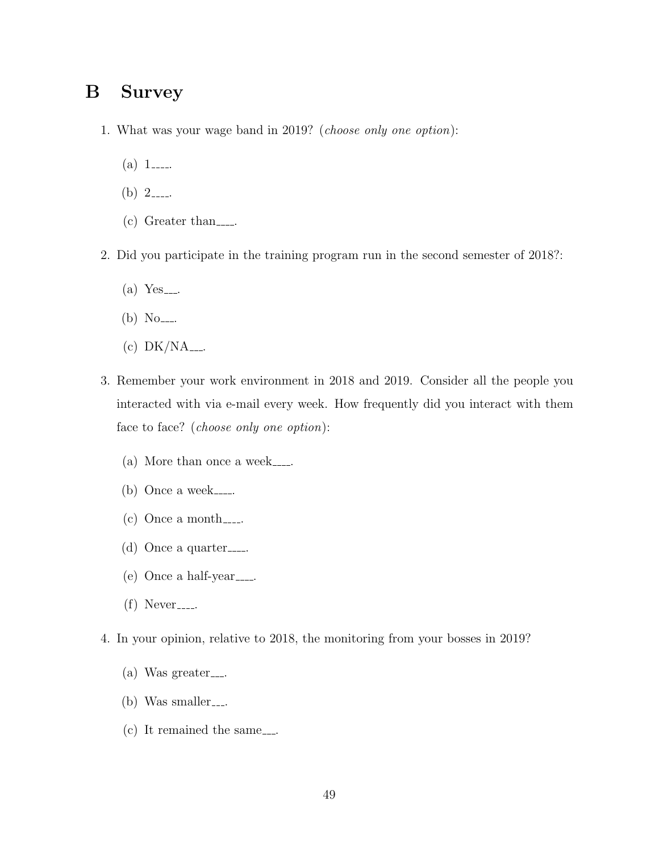### <span id="page-48-0"></span>B Survey

- 1. What was your wage band in 2019? (choose only one option):
	- (a)  $1$ \_\_\_\_\_.
	- (b)  $2$ ----
	- $(c)$  Greater than
- 2. Did you participate in the training program run in the second semester of 2018?:
	- $(a)$  Yes ....
	- (b)  $No$ ----
	- (c)  $DK/NA$ ....
- 3. Remember your work environment in 2018 and 2019. Consider all the people you interacted with via e-mail every week. How frequently did you interact with them face to face? (choose only one option):
	- $(a)$  More than once a week......
	- (b) Once a week......
	- $(c)$  Once a month......
	- (d) Once a quarter  $\ldots$
	- $(e)$  Once a half-year......
	- $(f)$  Never<sub>----</sub>
- 4. In your opinion, relative to 2018, the monitoring from your bosses in 2019?
	- $(a)$  Was greater...
	- $(b)$  Was smaller...
	- $(c)$  It remained the same...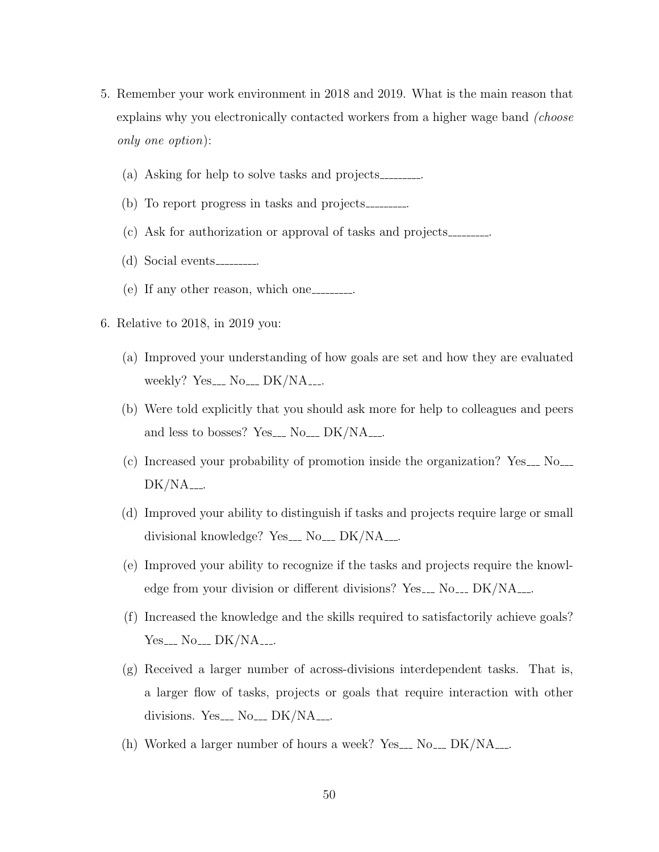- 5. Remember your work environment in 2018 and 2019. What is the main reason that explains why you electronically contacted workers from a higher wage band *(choose*) only one option):
	- (a) Asking for help to solve tasks and projects .
	- (b) To report progress in tasks and projects .
	- (c) Ask for authorization or approval of tasks and projects .
	- $(d)$  Social events ............
	- (e) If any other reason, which one  $\ldots$
- 6. Relative to 2018, in 2019 you:
	- (a) Improved your understanding of how goals are set and how they are evaluated weekly? Yes....  $No$ ....  $DK/NA$ ....
	- (b) Were told explicitly that you should ask more for help to colleagues and peers and less to bosses? Yes....  $No$ ....  $DK/NA$ ....
	- $(c)$  Increased your probability of promotion inside the organization? Yes  $\sim$  No.  $DK/NA$ <sub>---</sub>.
	- (d) Improved your ability to distinguish if tasks and projects require large or small divisional knowledge? Yes\_\_  $No$ \_\_  $DK/NA$ <sub>---</sub>.
	- (e) Improved your ability to recognize if the tasks and projects require the knowledge from your division or different divisions? Yes... No... DK/NA....
	- (f) Increased the knowledge and the skills required to satisfactorily achieve goals?  $Yes_{---} No_{---} DK/NA_{---}$
	- (g) Received a larger number of across-divisions interdependent tasks. That is, a larger flow of tasks, projects or goals that require interaction with other divisions. Yes....  $No$ ....  $DK/NA$ ....
	- (h) Worked a larger number of hours a week? Yes...  $No$ ...  $DK/NA$ ...